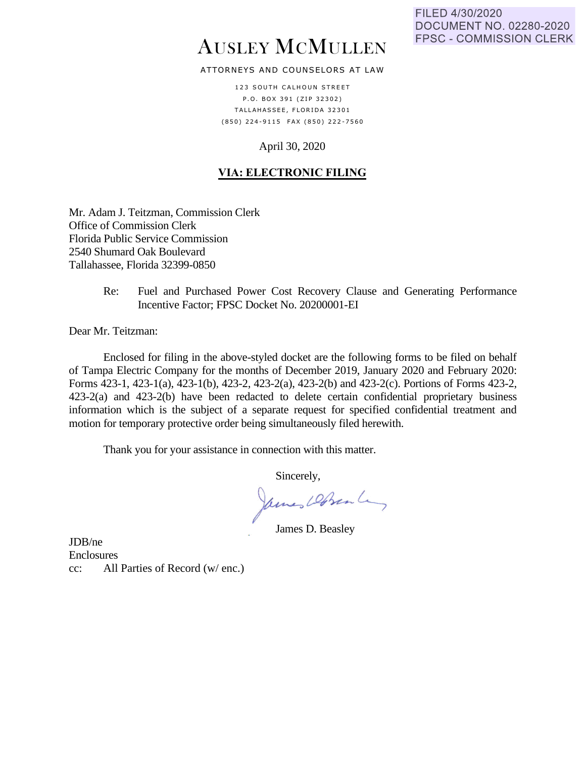# AUSLEY MCMULLEN

# ATTORNEYS AND COUNSELORS AT LAW

123 SOUTH CALHOUN STREET P.O. BOX 391 (ZIP 32302) TALLAHASSEE, FLORIDA 32301 (850) 224-9115 FAX (850) 222-7560

# April 30, 2020

# **VIA: ELECTRONIC FILING**

Mr. Adam J. Teitzman, Commission Clerk Office of Commission Clerk Florida Public Service Commission 2540 Shumard Oak Boulevard Tallahassee, Florida 32399-0850

> Re: Fuel and Purchased Power Cost Recovery Clause and Generating Performance Incentive Factor; FPSC Docket No. 20200001-EI

Dear Mr. Teitzman:

Enclosed for filing in the above-styled docket are the following forms to be filed on behalf of Tampa Electric Company for the months of December 2019, January 2020 and February 2020: Forms 423-1, 423-1(a), 423-1(b), 423-2, 423-2(a), 423-2(b) and 423-2(c). Portions of Forms 423-2, 423-2(a) and 423-2(b) have been redacted to delete certain confidential proprietary business information which is the subject of a separate request for specified confidential treatment and motion for temporary protective order being simultaneously filed herewith.

Thank you for your assistance in connection with this matter.

Sincerely,

James Dobrente,

James D. Beasley

JDB/ne Enclosures cc: All Parties of Record (w/ enc.)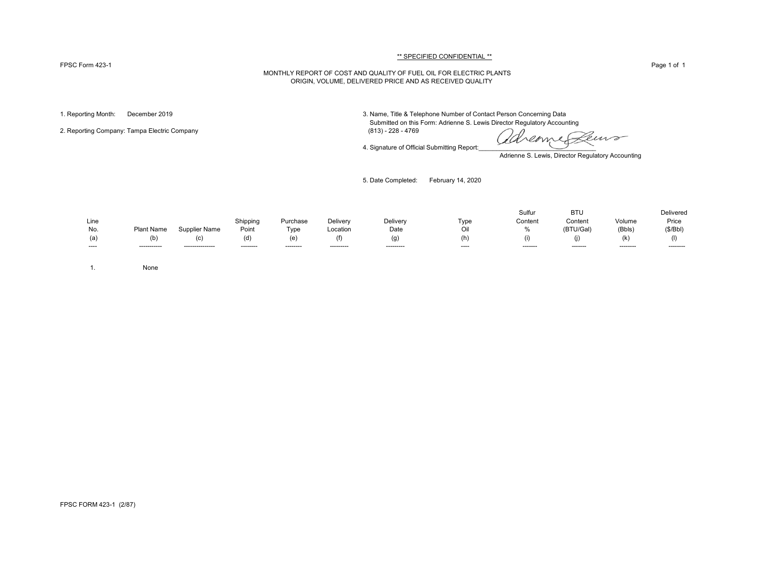#### FPSC Form 423-1 Page 1 of 1

#### \*\* SPECIFIED CONFIDENTIAL \*\*

### MONTHLY REPORT OF COST AND QUALITY OF FUEL OIL FOR ELECTRIC PLANTS ORIGIN, VOLUME, DELIVERED PRICE AND AS RECEIVED QUALITY

2. Reporting Company: Tampa Electric Company

1. Reporting Month: December 2019 3. Name, Title & Telephone Number of Contact Person Concerning Data Submitted on this Form: Adrienne S. Lewis Director Regulatory Accounting (813) - 228 - 4769

4. Signature of Official Submitting Report:

euro reame

Adrienne S. Lewis, Director Regulatory Accounting

5. Date Completed: February 14, 2020

|       |              |                  |           |           |            |            |       | Sulfur   | <b>BTU</b> |           | Delivered |
|-------|--------------|------------------|-----------|-----------|------------|------------|-------|----------|------------|-----------|-----------|
| Line  |              |                  | Shipping  | Purchase  | Delivery   | Delivery   | Tvpe  | Content  | Content    | Volume    | Price     |
| No.   | Plant Name   | Supplier Name    | Point     | Type      | Location   | Date       |       | 0/2      | (BTU/Gal)  | (Bbls)    | (S/Bbl)   |
| (a)   | (b)          |                  | (ď        | (e        |            | (g         | (h)   |          |            | (K)       |           |
| ----- | ------------ | ---------------- | --------- | --------- | ---------- | ---------- | $---$ | -------- | --------   | --------- | --------- |

1. None

FPSC FORM 423-1 (2/87)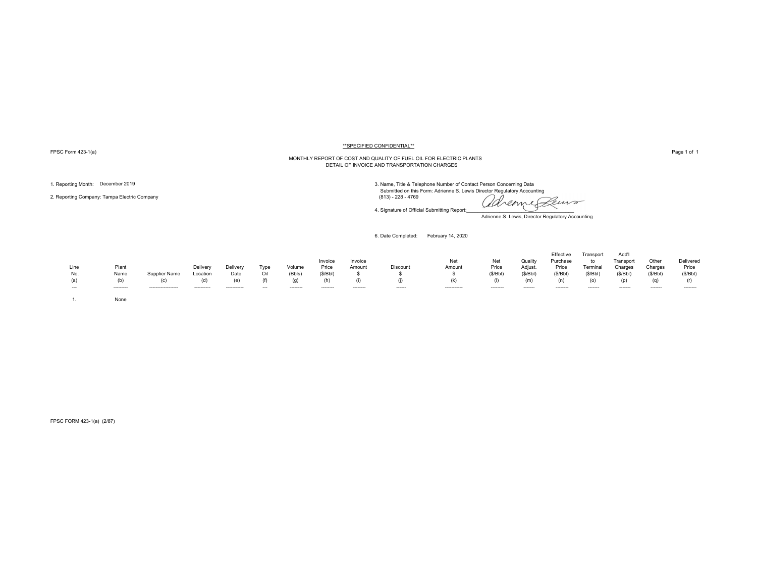FPSC Form 423-1(a) Page 1 of 1

#### \*\*SPECIFIED CONFIDENTIAL\*\*

# MONTHLY REPORT OF COST AND QUALITY OF FUEL OIL FOR ELECTRIC PLANTS DETAIL OF INVOICE AND TRANSPORTATION CHARGES

2. Reporting Company: Tampa Electric Company (813) - 228 - 4769

1. Reporting Month: December 2019<br>3. Name, Title & Telephone Number of Contact Person Concerning Data<br>3. Name, Title & Telephone Number of Contact Person Concerning Data

adreame Peuro

Adrienne S. Lewis, Director Regulatory Accounting

6. Date Completed: February 14, 2020

4. Signature of Official Submitting Report:

| Line<br>No.<br>(a)<br>$\overline{\phantom{a}}$ | Plant<br>Name<br>(b)<br>--------- | Supplier Name<br>(c)<br>------------------ | Delivery<br>Location<br>(d)<br>---------- | Delivery<br>Date<br>(e)<br>----------- | Type<br>Oil<br>(f)<br>$\overline{\phantom{a}}$ | Volume<br>(Bbls)<br>(g)<br>-------- | Invoice<br>Price<br>(S/Bbl)<br>-------- | Invoice<br>Amount<br>-------- | Discount<br>------ | Net<br>Amount<br>(k)<br>----------- | Net<br>Price<br>(S/Bbl)<br>-------- | Quality<br>Adjust.<br>(S/Bbl)<br>(m)<br>------- | Effective<br>Purchase<br>Price<br>(\$/Bbl)<br>(n)<br>-------- | Transport<br>to<br>Terminal<br>(\$/Bbl)<br>(o)<br>------- | Add'l<br>Transport<br>Charges<br>(S/Bbl)<br>(p)<br>------- | Other<br>Charges<br>(S/Bbl)<br>(q)<br>------- | Delivered<br>Price<br>(S/Bbl)<br>(r)<br>-------- |
|------------------------------------------------|-----------------------------------|--------------------------------------------|-------------------------------------------|----------------------------------------|------------------------------------------------|-------------------------------------|-----------------------------------------|-------------------------------|--------------------|-------------------------------------|-------------------------------------|-------------------------------------------------|---------------------------------------------------------------|-----------------------------------------------------------|------------------------------------------------------------|-----------------------------------------------|--------------------------------------------------|
|                                                | None                              |                                            |                                           |                                        |                                                |                                     |                                         |                               |                    |                                     |                                     |                                                 |                                                               |                                                           |                                                            |                                               |                                                  |

FPSC FORM 423-1(a) (2/87)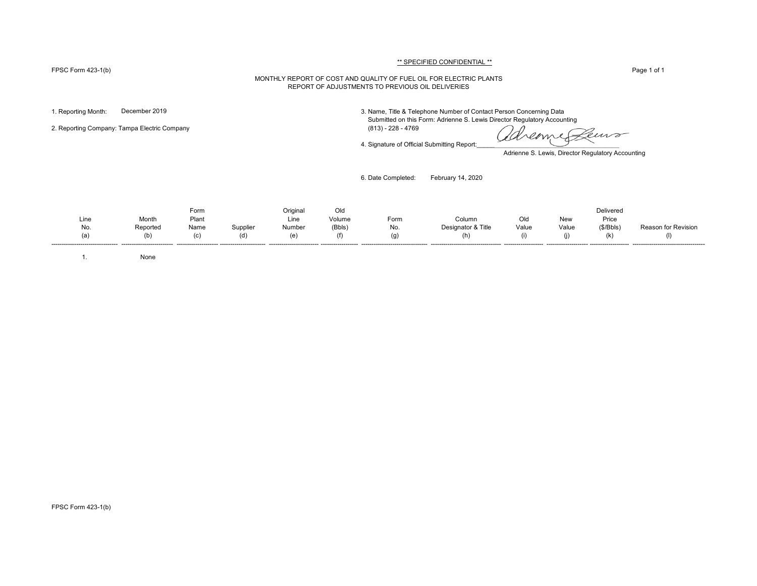#### FPSC Form 423-1(b) Page 1 of 1

# \*\* SPECIFIED CONFIDENTIAL \*\*

#### MONTHLY REPORT OF COST AND QUALITY OF FUEL OIL FOR ELECTRIC PLANTS REPORT OF ADJUSTMENTS TO PREVIOUS OIL DELIVERIES

1. Reporting Month: December 2019 3. Name, Title & Telephone Number of Contact Person Concerning Data

Submitted on this Form: Adrienne S. Lewis Director Regulatory Accounting

2. Reporting Company: Tampa Electric Company (813) - 228 - 4769

4. Signature of Official Submitting Report:

Leuro Kreame

Adrienne S. Lewis, Director Regulatory Accounting

6. Date Completed: February 14, 2020

Form Original Old Delivered Line Month Plant Line Volume Form Column Old New Price No. Reported Name Supplier Number (Bbls) No. Designator & Title Value Value (\$/Bbls) Reason for Revision (a) (b) (c) (d) (e) (f) (g) (h) (i) (j) (k) (l) -------------------------------- ------------------------- -------------------- ---------------------- ------------------------ ------------------ -------------------------------- ---------------------------------- ------------------- -------------------- ------------------- -----------------------------------

1. None

FPSC Form 423-1(b)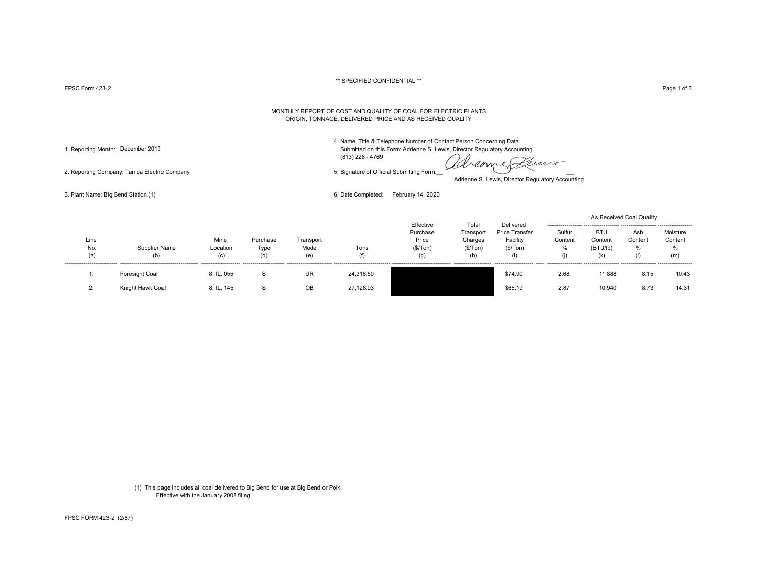FPSC Form 423-2 Page 1 of 3 Page 1 of 3

#### \*\* SPECIFIED CONFIDENTIAL \*\*

#### MONTHLY REPORT OF COST AND QUALITY OF COAL FOR ELECTRIC PLANTS ORIGIN, TONNAGE, DELIVERED PRICE AND AS RECEIVED QUALITY

4. Name, Title & Telephone Number of Contact Person Concerning Data

1. Reporting Month: December 2019 Submitted on this Form: Adrienne S. Lewis, Director Regulatory Accounting (813) 228 - 4769

aremies euro

2. Reporting Company: Tampa Electric Company 6. Signature of Official Submitting Form:

Adrienne S. Lewis, Director Regulatory Accounting

3. Plant Name: Big Bend Station (1) 6. Date Completed: February 14, 2020

|                    |                      |                         |                         |                          |             | Effective                             | Total                                   | Delivered                             |                                            |                                          | As Received Coal Quality   |                                 |
|--------------------|----------------------|-------------------------|-------------------------|--------------------------|-------------|---------------------------------------|-----------------------------------------|---------------------------------------|--------------------------------------------|------------------------------------------|----------------------------|---------------------------------|
| Line<br>No.<br>(a) | Supplier Name<br>(b) | Mine<br>Location<br>(c) | Purchase<br>Type<br>(d) | Transport<br>Mode<br>(e) | Tons<br>(f) | Purchase<br>Price<br>(\$/ Ton)<br>(g) | Transport<br>Charges<br>(\$/Top)<br>(h) | Price Transfer<br>Facility<br>(S/Ton) | Sulfur<br>Content<br>%<br>$\left( \right $ | <b>BTU</b><br>Content<br>(BTU/lb)<br>(k) | Ash<br>Content<br>%<br>(1) | Moisture<br>Content<br>%<br>(m) |
|                    | Foresight Coal       | 8, IL, 055              | S                       | <b>UR</b>                | 24,316.50   |                                       |                                         | \$74.90                               | 2.68                                       | 11,888                                   | 8.15                       | 10.43                           |
|                    | Knight Hawk Coal     | 8, IL, 145              | S                       | OB                       | 27,128.93   |                                       |                                         | \$65.19                               | 2.87                                       | 10,940                                   | 8.73                       | 14.31                           |

(1) This page includes all coal delivered to Big Bend for use at Big Bend or Polk. Effective with the January 2008 filing.

FPSC FORM 423-2 (2/87)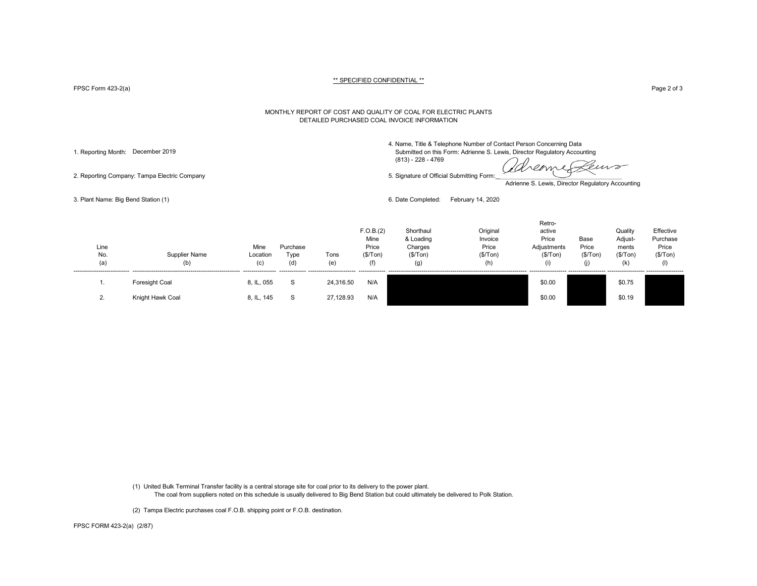FPSC Form 423-2(a) Page 2 of 3

#### MONTHLY REPORT OF COST AND QUALITY OF COAL FOR ELECTRIC PLANTS DETAILED PURCHASED COAL INVOICE INFORMATION

4. Name, Title & Telephone Number of Contact Person Concerning Data

1. Reporting Month: December 2019 Submitted on this Form: Adrienne S. Lewis, Director Regulatory Accounting (813) - 228 - 4769

reame euro

2. Reporting Company: Tampa Electric Company 6. Signature of Official Submitting Form:

Adrienne S. Lewis, Director Regulatory Accounting

Retro-

3. Plant Name: Big Bend Station (1) 6. Date Completed: February 14, 2020

| Line<br>No.<br>(a) | Supplier Name<br>(b) | Mine<br>Location<br>(c) | Purchase<br>Type<br>(d) | Tons<br>(e) | F.O.B.(2)<br>Mine<br>Price<br>(\$/Tom) | Shorthaul<br>& Loading<br>Charges<br>(S/Ton)<br>(g) | Original<br>Invoice<br>Price<br>(\$/Tom)<br>(h) | reu o-<br>active<br>Price<br>Adjustments<br>(S/Ton)<br>(1) | Base<br>Price<br>(\$/Tom)<br>(i) | Quality<br>Adjust-<br>ments<br>(\$/Tom)<br>(k | Effective<br>Purchase<br>Price<br>(\$/Tom)<br>(1) |  |
|--------------------|----------------------|-------------------------|-------------------------|-------------|----------------------------------------|-----------------------------------------------------|-------------------------------------------------|------------------------------------------------------------|----------------------------------|-----------------------------------------------|---------------------------------------------------|--|
|                    | Foresight Coal       | 8, IL, 055              |                         | 24,316.50   | N/A                                    |                                                     |                                                 | \$0.00                                                     |                                  | \$0.75                                        |                                                   |  |
| <u>.</u>           | Knight Hawk Coal     | 8, IL, 145              | -0                      | 27,128.93   | N/A                                    |                                                     |                                                 | \$0.00                                                     |                                  | \$0.19                                        |                                                   |  |

(1) United Bulk Terminal Transfer facility is a central storage site for coal prior to its delivery to the power plant.

The coal from suppliers noted on this schedule is usually delivered to Big Bend Station but could ultimately be delivered to Polk Station.

(2) Tampa Electric purchases coal F.O.B. shipping point or F.O.B. destination.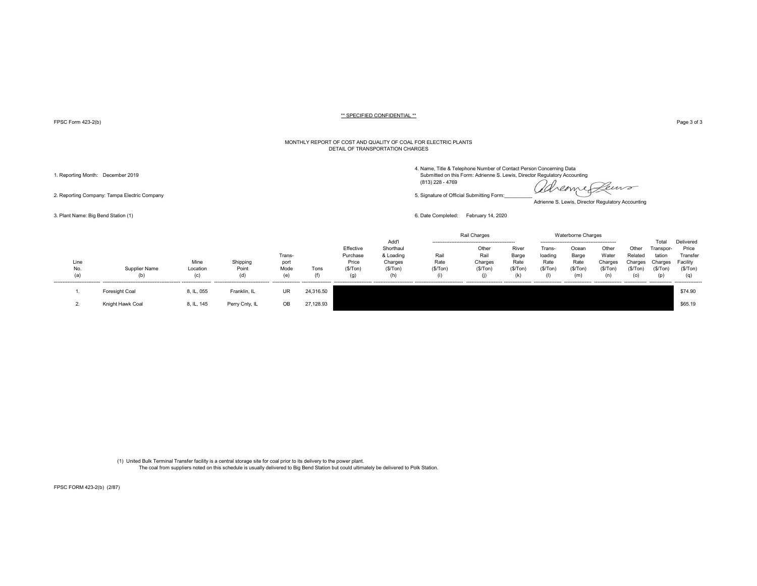FPSC Form 423-2(b) Page 3 of 3

#### MONTHLY REPORT OF COST AND QUALITY OF COAL FOR ELECTRIC PLANTS DETAIL OF TRANSPORTATION CHARGES

(813) 228 - 4769

remme Peuvo <u>Cl</u>ol

Adrienne S. Lewis, Director Regulatory Accounting

3. Plant Name: Big Bend Station (1) 6. Date Completed: February 14, 2020

|                    |                      |                         |                          |                               |             |                                                    |                                                              |                         | Rail Charges                               |                                          |                                      | Waterborne Charges                       |                                                          |                                                                |                                                                              |                                                              |
|--------------------|----------------------|-------------------------|--------------------------|-------------------------------|-------------|----------------------------------------------------|--------------------------------------------------------------|-------------------------|--------------------------------------------|------------------------------------------|--------------------------------------|------------------------------------------|----------------------------------------------------------|----------------------------------------------------------------|------------------------------------------------------------------------------|--------------------------------------------------------------|
| Line<br>No.<br>(a) | Supplier Name<br>(b) | Mine<br>Location<br>(c) | Shipping<br>Point<br>(d) | Trans-<br>port<br>Mode<br>(a) | Tons<br>(f) | Effective<br>Purchase<br>Price<br>(\$/ Ton)<br>(g) | Add'l<br>Shorthaul<br>& Loading<br>Charges<br>(S/Ton)<br>(h) | Rail<br>Rate<br>(S/Ton) | Other<br>Rail<br>Charges<br>(S/Ton)<br>(I) | River<br>Barge<br>Rate<br>(S/Ton)<br>(k) | Frans-<br>loading<br>Rate<br>(S/Ton) | Ocean<br>Barge<br>Rate<br>(S/Ton)<br>(m) | Other<br>Water<br>Charges<br>(S/Ton)<br>---------------- | Other<br>Related<br>Charges<br>(S/Ton)<br>(၀)<br>------------- | Total<br>Transpor-<br>tation<br>Charges<br>(\$/Top)<br>(p)<br>-------------- | Delivered<br>Price<br>Transfer<br>Facility<br>(S/Ton)<br>(q) |
|                    | Foresight Coal       | 8, IL, 055              | Franklin, IL             | UR                            | 24,316.50   |                                                    |                                                              |                         |                                            |                                          |                                      |                                          |                                                          |                                                                |                                                                              | \$74.90                                                      |
|                    | Knight Hawk Coal     | 8, IL, 145              | Perry Cnty, IL           | OB                            | 27,128.93   |                                                    |                                                              |                         |                                            |                                          |                                      |                                          |                                                          |                                                                |                                                                              | \$65.19                                                      |

(1) United Bulk Terminal Transfer facility is a central storage site for coal prior to its delivery to the power plant. The coal from suppliers noted on this schedule is usually delivered to Big Bend Station but could ultimately be delivered to Polk Station.

2. Reporting Company: Tampa Electric Company company company company of Company of Company form:

FPSC FORM 423-2(b) (2/87)

4. Name, Title & Telephone Number of Contact Person Concerning Data<br>1. Reporting Month: December 2019 Submitted on this Form: Adrienne S. Lewis, Director Regulatory Accounting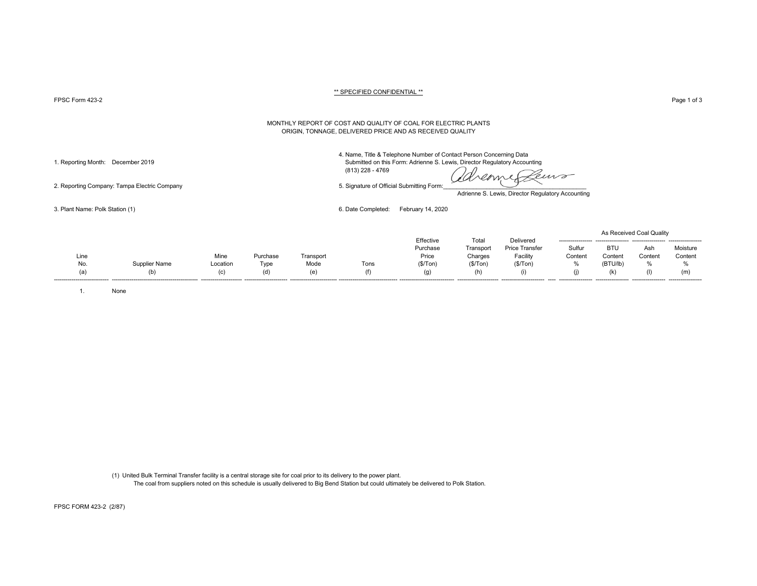## FPSC Form 423-2 Page 1 of 3

#### MONTHLY REPORT OF COST AND QUALITY OF COAL FOR ELECTRIC PLANTS ORIGIN, TONNAGE, DELIVERED PRICE AND AS RECEIVED QUALITY

4. Name, Title & Telephone Number of Contact Person Concerning Data 1. Reporting Month: December 2019 Submitted on this Form: Adrienne S. Lewis, Director Regulatory Accounting

(813) 228 - 4769

emp

Adrienne S. Lewis, Director Regulatory Accounting

3. Plant Name: Polk Station (1) 6. Date Completed: February 14, 2020

|                              |               |          |          |           |                                 |           |           |                       |         |            | As Received Coal Quality |          |
|------------------------------|---------------|----------|----------|-----------|---------------------------------|-----------|-----------|-----------------------|---------|------------|--------------------------|----------|
|                              |               |          |          |           |                                 | Effective | Total     | Delivered             |         |            |                          |          |
|                              |               |          |          |           |                                 | Purchase  | Transport | <b>Price Transfer</b> | Sulfur  | <b>BTL</b> | Ash                      | Moisture |
| Line                         |               | Mine     | Purchase | Transport |                                 | Price     | Charges   | Facility              | Content | Conten     | Content                  | Content  |
| No.                          | Supplier Name | Location | Type     | Mode      | Tons                            | (\$/Ton)  | (S/Ton)   | (\$/Tom)              | %       | (BTU/lb)   | 70                       | %        |
| (a)                          | (b)           | (C)      | (d)      | (e)       | (f)                             | (g)       | (h)       |                       | (j)     |            |                          | (m)      |
| ---------------------------- |               |          |          |           | ------------------------------- |           |           |                       |         |            | ------------------       |          |

1. None

(1) United Bulk Terminal Transfer facility is a central storage site for coal prior to its delivery to the power plant. The coal from suppliers noted on this schedule is usually delivered to Big Bend Station but could ultimately be delivered to Polk Station.

2. Reporting Company: Tampa Electric Company 6. Signature of Official Submitting Form: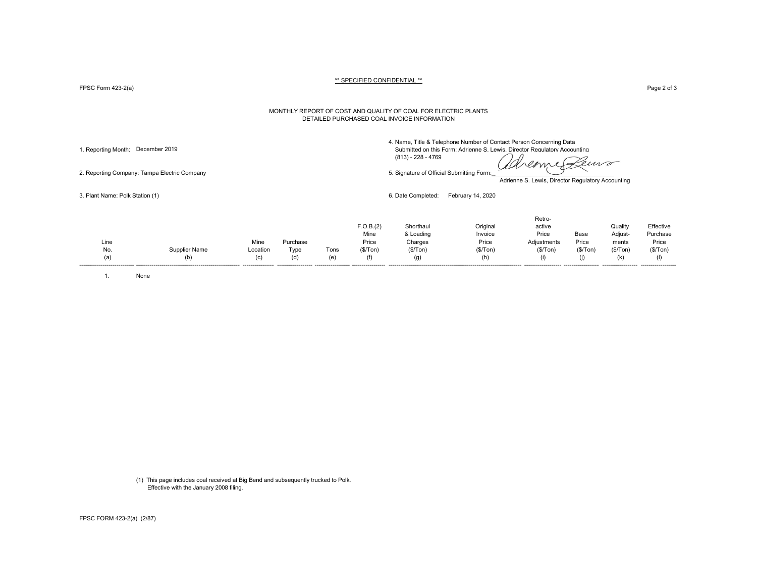FPSC Form 423-2(a) Page 2 of 3

#### MONTHLY REPORT OF COST AND QUALITY OF COAL FOR ELECTRIC PLANTS DETAILED PURCHASED COAL INVOICE INFORMATION

4. Name, Title & Telephone Number of Contact Person Concerning Data 1. Reporting Month: December 2019 Submitted on this Form: Adrienne S. Lewis, Director Regulatory Accounting

dreame euro

2. Reporting Company: Tampa Electric Company 5. Signature of Official Submitting Form:

Adrienne S. Lewis, Director Regulatory Accounting

3. Plant Name: Polk Station (1) 6. Date Completed: February 14, 2020

(813) - 228 - 4769

|      |                      |          |          |      | F.O.B.(2)<br>Mine | Shorthaul<br>& Loading | Original<br>Invoice | Retro-<br>active<br>Price | Base    | Quality<br>Adjust- | Effective<br>Purchase |
|------|----------------------|----------|----------|------|-------------------|------------------------|---------------------|---------------------------|---------|--------------------|-----------------------|
| Line |                      | Mine     | Purchase |      | Price             | Charges                | Price               | Adjustments               | Price   | ments              | Price                 |
| No.  | <b>Supplier Name</b> | Location | Type     | Tons | (S/Ton)           | (\$/Top)               | (\$/Top)            | (\$/Top)                  | (S/Ton) | (\$/Tom)           | (\$/Tom)              |
| (a)  | (b)                  | (c)      | (d)      | (e'  | (f)               | (g)                    | (h)                 | (i)                       | (1)     | (k)                |                       |

1. None

(1) This page includes coal received at Big Bend and subsequently trucked to Polk. Effective with the January 2008 filing.

FPSC FORM 423-2(a) (2/87)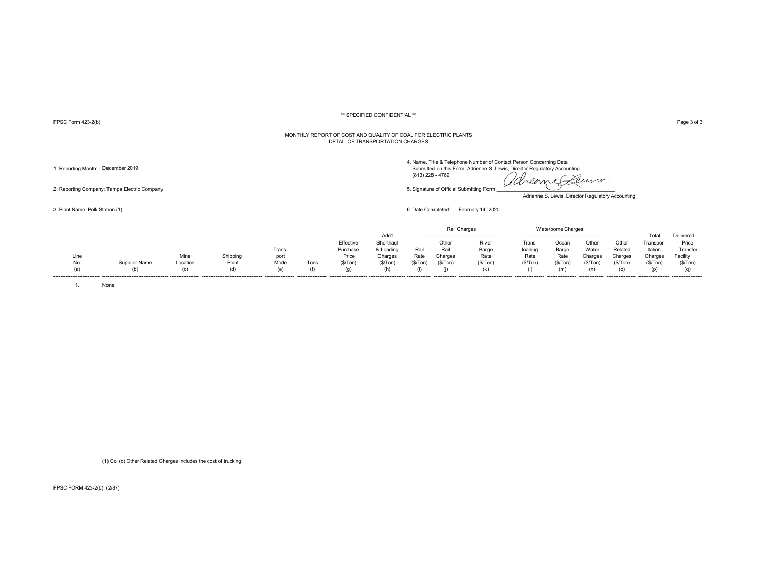FPSC Form 423-2(b) Page 3 of 3

#### MONTHLY REPORT OF COST AND QUALITY OF COAL FOR ELECTRIC PLANTS DETAIL OF TRANSPORTATION CHARGES

Adrienne S. Lewis, Director Regulatory Accounting

|                           |               |          |          |                  |      |           |           |                |               | Rail Charges                    |         | Waterborne Charges |                |                   |           |                    |
|---------------------------|---------------|----------|----------|------------------|------|-----------|-----------|----------------|---------------|---------------------------------|---------|--------------------|----------------|-------------------|-----------|--------------------|
|                           |               |          |          |                  |      |           | Add'l     |                |               |                                 |         |                    |                |                   | ⊺ota      | Delivered          |
|                           |               |          |          |                  |      | Effective | Shorthaul |                | Other         | River                           | Trans   | Ocean              | Other          | Other             | Transpor- | Price              |
|                           |               |          |          | Trans-           |      | Purchase  | & Loading | Rail           | Rai           | Barge                           | loading | Barge              | Water          | Related           | tation    | Transfer           |
| Line                      |               | Mine     | Shipping | port             |      | Price     | Charges   | Rate           | Charges       | Rate                            | Rate    | Rate               | Charges        | Charges           | Charges   | Facility           |
| No.                       | Supplier Name | Location | Point    | Mode             | Tons | (S/Ton)   | (\$/Ton)  | (S/Ton)        | (S/Ton)       | (S/Ton)                         | (S/Ton) | (\$/Ton            | (\$/Ton        | '\$/Ton           | (S/Ton)   | (S/Ton)            |
| (a)                       |               | $\sim$   | (d)      |                  |      |           |           |                |               |                                 |         | ſπ                 |                |                   |           |                    |
| ------------------------- |               |          |          | ---------------- |      |           |           | -------------- | ------------- | ------------------------------- |         | ----------------   | -------------- | ----------------- |           | ------------------ |

1. None

(1) Col (o) Other Related Charges includes the cost of trucking.

FPSC FORM 423-2(b) (2/87)

2. Reporting Company: Tampa Electric Company 5. Signature of Official Submitting Form:\_\_\_\_\_\_\_\_\_\_\_\_\_\_\_\_\_\_\_\_\_\_\_\_\_\_\_\_\_\_\_\_\_\_\_\_\_\_\_\_\_\_\_ 3. Plant Name: Polk Station (1) 6. Date Completed: February 14, 2020

4. Name, Title & Telephone Number of Contact Person Concerning Data<br>1. Reporting Month: December 2019 Submitted on this Form: Adrienne S. Lewis, Director Regulatory Accounting (813) 228 - 4769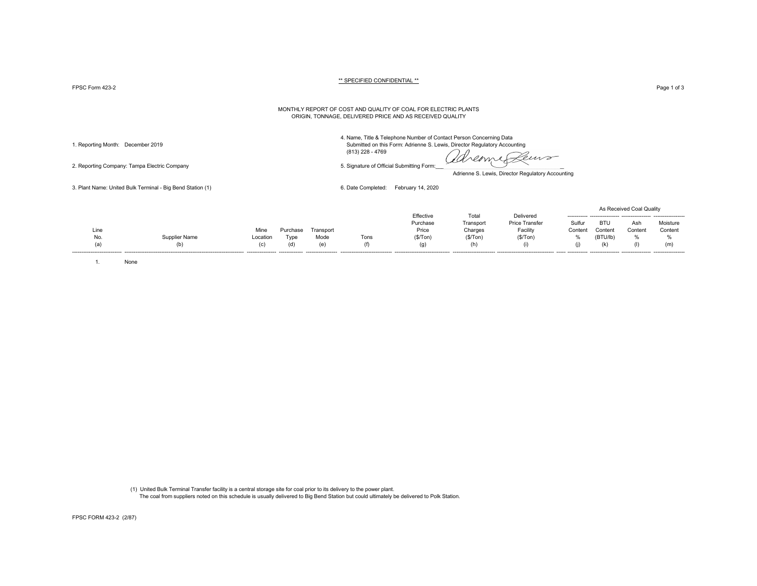$\tt FPSC Form$   $423-2$   $\tt \tt Page 1 of 3$ 

#### \*\* SPECIFIED CONFIDENTIAL \*\*

#### MONTHLY REPORT OF COST AND QUALITY OF COAL FOR ELECTRIC PLANTS ORIGIN, TONNAGE, DELIVERED PRICE AND AS RECEIVED QUALITY

2. Reporting Company: Tampa Electric Company 5. Signature of Official Submitting Form:

4. Name, Title & Telephone Number of Contact Person Concerning Data 1. Reporting Month: December 2019 Submitted on this Form: Adrienne S. Lewis, Director Regulatory Accounting (813) 228 - 4769

dreame Leuro

Adrienne S. Lewis, Director Regulatory Accounting

3. Plant Name: United Bulk Terminal - Big Bend Station (1) 6. Date Completed: February 14, 2020

|             |                      |                  |                              |                   |                              |                       |                    |                                    |                 |                     | As Received Coal Quality |                           |
|-------------|----------------------|------------------|------------------------------|-------------------|------------------------------|-----------------------|--------------------|------------------------------------|-----------------|---------------------|--------------------------|---------------------------|
|             |                      |                  |                              |                   |                              | Effective<br>Purchase | Total<br>Transpor  | Delivered<br><b>Price Transfer</b> | Sulfur          | BTU                 | Ash                      | Moisture                  |
| Line<br>No. | <b>Supplier Name</b> | Mine<br>Location | <sup>o</sup> urchase<br>Tvpe | Transport<br>Mode | Tons                         | Price<br>(S/Ton)      | Charges<br>(S/Ton) | Facility<br>(S/Ton)                | Content<br>$\%$ | Content<br>(BTU/lb) | Content                  | Content                   |
|             |                      | (C)              | (d                           | (e)               | ---------------------------- |                       |                    |                                    | (1)             |                     |                          | (m)<br>------------------ |

1. None

 (1) United Bulk Terminal Transfer facility is a central storage site for coal prior to its delivery to the power plant. The coal from suppliers noted on this schedule is usually delivered to Big Bend Station but could ultimately be delivered to Polk Station.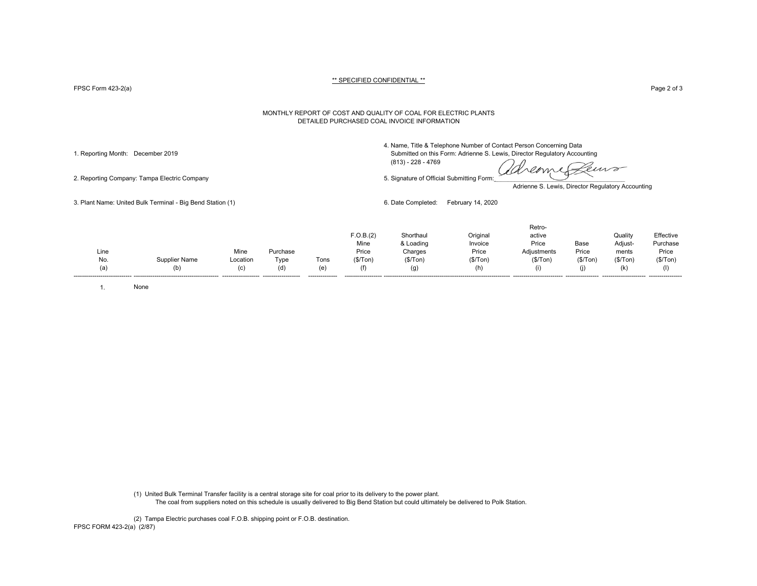FPSC Form 423-2(a) Page 2 of 3

#### MONTHLY REPORT OF COST AND QUALITY OF COAL FOR ELECTRIC PLANTS DETAILED PURCHASED COAL INVOICE INFORMATION

4. Name, Title & Telephone Number of Contact Person Concerning Data

1. Reporting Month: December 2019 Submitted on this Form: Adrienne S. Lewis, Director Regulatory Accounting (813) - 228 - 4769

2. Reporting Company: Tampa Electric Company 6. Signature of Official Submitting Form:

reome euro

Adrienne S. Lewis, Director Regulatory Accounting

3. Plant Name: United Bulk Terminal - Big Bend Station (1) 6. Date Completed: February 14, 2020

|      |                      |                    |                    |                |           |           |           | Retro-      |          |           |           |
|------|----------------------|--------------------|--------------------|----------------|-----------|-----------|-----------|-------------|----------|-----------|-----------|
|      |                      |                    |                    |                | F.O.B.(2) | Shorthaul | Original  | active      |          | Quality   | Effective |
|      |                      |                    |                    |                | Mine      | & Loading | Invoice   | Price       | Base     | Adiust-   | Purchase  |
| Line |                      | Mine               | Purchase           |                | Price     | Charges   | Price     | Adjustments | Price    | ments     | Price     |
| No.  | <b>Supplier Name</b> | Location           | Type               | Tons           | (\$/Top)  | (\$/Top)  | (\$/ Ton) | (\$/Top)    | (\$/Top) | (\$/ Ton) | (\$/Tom)  |
| (a)  | (b)                  | (C)                | (d)                | (e)            | (†)       | (g)       |           |             |          | (k)       |           |
|      |                      | ------------------ | ------------------ | -------------- |           |           |           |             |          |           |           |

1. None

(1) United Bulk Terminal Transfer facility is a central storage site for coal prior to its delivery to the power plant. The coal from suppliers noted on this schedule is usually delivered to Big Bend Station but could ultimately be delivered to Polk Station.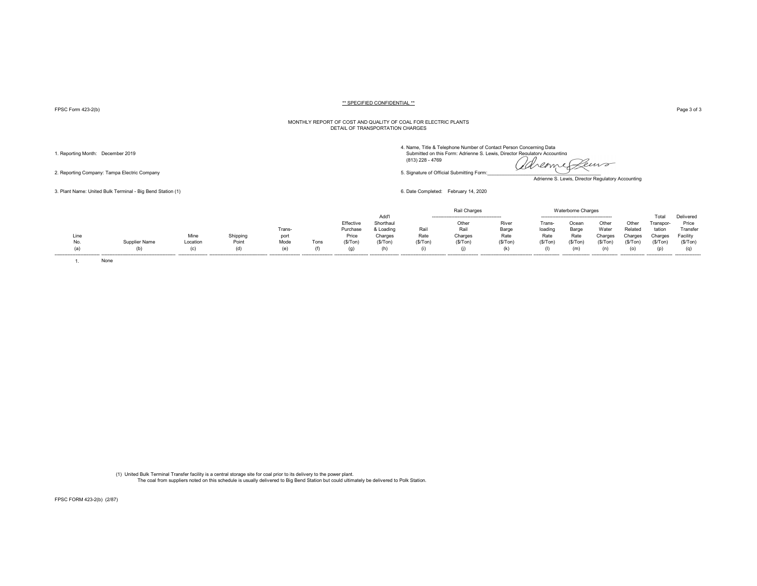FPSC Form 423-2(b) Page 3 of 3

#### MONTHLY REPORT OF COST AND QUALITY OF COAL FOR ELECTRIC PLANTS DETAIL OF TRANSPORTATION CHARGES

4. Name, Title & Telephone Number of Contact Person Concerning Data<br>1. Reporting Month: December 2019 Submitted on this Form: Adrienne S. Lewis, Director Regulatory Accounting (813) 228 - 4769

2. Reporting Company: Tampa Electric Company 5. Signature of Official Submitting Form:\_\_\_\_\_\_\_\_\_\_\_\_\_\_\_\_\_\_\_\_\_\_\_\_\_\_\_\_\_\_\_\_\_\_\_\_\_\_\_\_\_\_\_

Adrienne S. Lewis, Director Regulatory Accounting

3. Plant Name: United Bulk Terminal - Big Bend Station (1) 6. Date Completed: February 14, 2020

|      |        |          |                     |        |      |           |          |         |         |         |        | Charges |         |         |          |           |
|------|--------|----------|---------------------|--------|------|-----------|----------|---------|---------|---------|--------|---------|---------|---------|----------|-----------|
|      |        |          |                     |        |      |           | Add'l    |         |         |         |        |         |         |         | Гоtа     | Delivered |
|      |        |          |                     |        |      | Effective | Shorthau |         | Othei   | River   | Tran   | Ocear   | Othe    | Othe    | Γranspo⊧ | Price     |
|      |        |          |                     | Trans- |      | Purchase  | & Loadin | Rai     | Rail    | Barge   | loadir | Barge   | Wate    | Related | tation   | Fransfer  |
| Line |        | Mine     | Chinning<br>oniuunu | port   |      | Price     | Charges  | Rate    | Charges | Rate    | Rate   | Rate    | Charges | Charge  | harge:   | -acilit∖  |
| No.  | r Name | Location | Point               | Mode   | Tons | (\$/Ton   | (\$/Ton) | (\$/Ton | (\$/Tor | (\$/Ton |        | (\$/Ton | '\$/Ton | ≀\$/Tor | (\$/Ton  | (S/Top)   |
|      |        |          |                     | ιe     |      | (g)       | (h)      |         |         | (k      |        | (m)     |         |         |          | (q)       |
|      |        |          |                     |        |      |           |          |         |         |         |        |         |         |         |          |           |

1. None

(1) United Bulk Terminal Transfer facility is a central storage site for coal prior to its delivery to the power plant. The coal from suppliers noted on this schedule is usually delivered to Big Bend Station but could ultimately be delivered to Polk Station.

FPSC FORM 423-2(b) (2/87)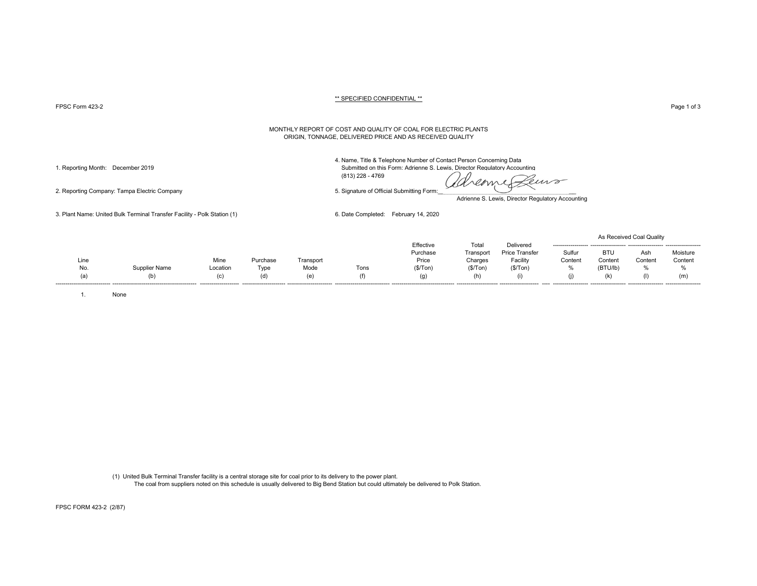PPSC Form 423-2 Page 1 of 3 Page 1 of 3

#### MONTHLY REPORT OF COST AND QUALITY OF COAL FOR ELECTRIC PLANTS ORIGIN, TONNAGE, DELIVERED PRICE AND AS RECEIVED QUALITY

4. Name, Title & Telephone Number of Contact Person Concerning Data

1. Reporting Month: December 2019 Submitted on this Form: Adrienne S. Lewis, Director Regulatory Accounting

(813) 228 - 4769

deme Peuvo

Adrienne S. Lewis, Director Regulatory Accounting

3. Plant Name: United Bulk Terminal Transfer Facility - Polk Station (1) 6. Date Completed: February 14, 2020

|      |               |          |                          |           |      |           |           |                       |                     |                     | As Received Coal Quality |                   |
|------|---------------|----------|--------------------------|-----------|------|-----------|-----------|-----------------------|---------------------|---------------------|--------------------------|-------------------|
|      |               |          |                          |           |      | Effective | Total     | Delivered             | ------------------  |                     |                          |                   |
|      |               |          |                          |           |      | Purchase  | Transporl | <b>Price Transfer</b> | Sulfur              | BTU                 | Asr.                     | Moisture          |
| Line |               | Mine     | Purchase                 | Transport |      | Price     | Charges   | Facility              | Content             | Content             | Content                  | Content           |
| No.  | Supplier Name | Location | Type                     | Mode      | Tons | (S/Ton)   | (\$/Top)  | (\$/ Ton)             | 70                  | (BTU/lb)            | %                        | 0/2<br><b>7</b> U |
|      | (b)           | (c)      |                          | (e)       |      | (g)       | (h)       | (i)                   |                     |                     | (1)                      | (m                |
|      |               |          | ------------------------ |           |      |           |           |                       | ------------------- | ------------------- |                          |                   |

1. None

(1) United Bulk Terminal Transfer facility is a central storage site for coal prior to its delivery to the power plant. The coal from suppliers noted on this schedule is usually delivered to Big Bend Station but could ultimately be delivered to Polk Station.

2. Reporting Company: Tampa Electric Company 5. Signature of Official Submitting Form:

FPSC FORM 423-2 (2/87)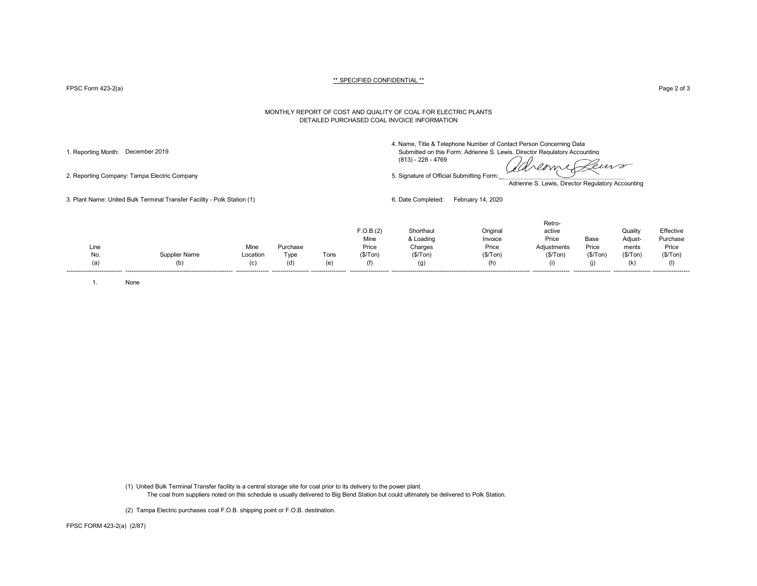FPSC Form 423-2(a) Page 2 of 3

#### MONTHLY REPORT OF COST AND QUALITY OF COAL FOR ELECTRIC PLANTS DETAILED PURCHASED COAL INVOICE INFORMATION

4. Name, Title & Telephone Number of Contact Person Concerning Data

1. Reporting Month: December 2019 Submitted on this Form: Adrienne S. Lewis, Director Regulatory Accounting (813) - 228 - 4769

deme Peuvo

2. Reporting Company: Tampa Electric Company 5. Signature of Official Submitting Form:

Adrienne S. Lewis, Director Regulatory Accounting

3. Plant Name: United Bulk Terminal Transfer Facility - Polk Station (1) 6. Date Completed: February 14, 2020

|                                       |          |          |      | F.O.B.(2)<br>Mine | Shorthaul<br>& Loading | Original<br>Invoice | Retro-<br>active<br>Price | Base     | Quality<br>Adjust- | Effective<br>Purchase |
|---------------------------------------|----------|----------|------|-------------------|------------------------|---------------------|---------------------------|----------|--------------------|-----------------------|
| Line                                  | Mine     | Purchase |      | Price             | Charges                | Price               | Adjustments               | Price    | ments              | Price                 |
| No.<br>Supplier Name                  | Location | Туре     | Tons | (\$/ Ton)         | (\$/Tom)               | (\$/Tom)            | (\$/Tom)                  | (\$/Tom) | (S/Ton)            | (\$/Tom)              |
| (b)<br>(a)<br>----------------------- | (C)      | (d)      | (e)  | (f)               | (g)                    | (h)                 | (i)                       |          | (k)                |                       |

1. None

(1) United Bulk Terminal Transfer facility is a central storage site for coal prior to its delivery to the power plant. The coal from suppliers noted on this schedule is usually delivered to Big Bend Station but could ultimately be delivered to Polk Station.

(2) Tampa Electric purchases coal F.O.B. shipping point or F.O.B. destination.

FPSC FORM 423-2(a) (2/87)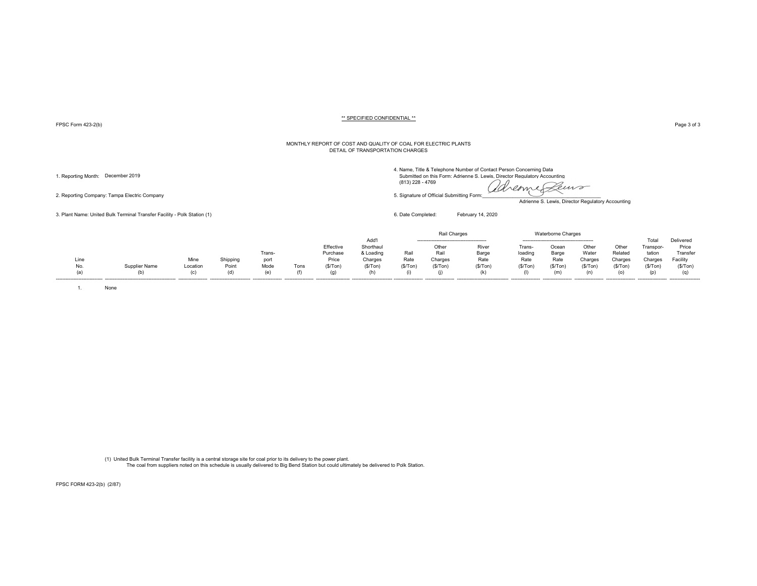FPSC Form 423-2(b) Page 3 of 3

#### MONTHLY REPORT OF COST AND QUALITY OF COAL FOR ELECTRIC PLANTS DETAIL OF TRANSPORTATION CHARGES

2. Reporting Company: Tampa Electric Company 6. Stephano and the step of Company 5. Signature of Official Submitting Form:

3. Plant Name: United Bulk Terminal Transfer Facility - Polk Station (1) 6. Date Completed: February 14, 2020

4. Name, Title & Telephone Number of Contact Person Concerning Data

1. Reporting Month: December 2019 Submitted on this Form: Adrienne S. Lewis, Director Regulatory Accounting (813)<br>(a) 228 - 4769 (13) 228 - 4769 (2000) 288 - 4769 (2000) 288 - 4769 (2000) 288 - 4769 (2000) 288 - 4769 (2000 (813) 228 - 4769

Leuro

Adrienne S. Lewis, Director Regulatory Accounting

|      |               |          |          |                  |      |           |           |          | Rail Charges |                                 |         | <b>Waterborne Charges</b> |         |         |           |           |
|------|---------------|----------|----------|------------------|------|-----------|-----------|----------|--------------|---------------------------------|---------|---------------------------|---------|---------|-----------|-----------|
|      |               |          |          |                  |      |           | Add'      |          |              |                                 |         |                           |         |         | Total     | Delivered |
|      |               |          |          |                  |      | Effective | Shorthaul |          | Other        | River                           | Frans-  | Ocear                     | Other   | Other   | Transpor- | Price     |
|      |               |          |          | Trans-           |      | Purchase  | & Loading | Rail     | Rail         | Barge                           | loading | Barge                     | Water   | Related | tation    | Transfer  |
| Line |               | Mine     | Shipping | port             |      | Price     | Charges   | Rate     | Charges      | Rate                            | Rate    | Rate                      | Charges | Charges | Charges   | Facility  |
| No.  | Supplier Name | Location | Point    | Mode             | Tons | (S/Ton)   | (\$/Tom)  | (\$/Ton) | (S/Ton)      | (S/ Ton)                        | (S/Ton) | (S/Ton)                   | (S/Ton) | (\$/Ton | (S/Ton)   | (S/Ton)   |
| (a)  |               | (n)      | (d)      | (e)              |      |           |           |          |              |                                 |         | (m                        |         | (o)     | (p)       |           |
|      |               |          |          | ---------------- |      |           |           |          |              | ------------------------------- |         |                           |         |         |           |           |

1. None

(1) United Bulk Terminal Transfer facility is a central storage site for coal prior to its delivery to the power plant. The coal from suppliers noted on this schedule is usually delivered to Big Bend Station but could ultimately be delivered to Polk Station.

FPSC FORM 423-2(b) (2/87)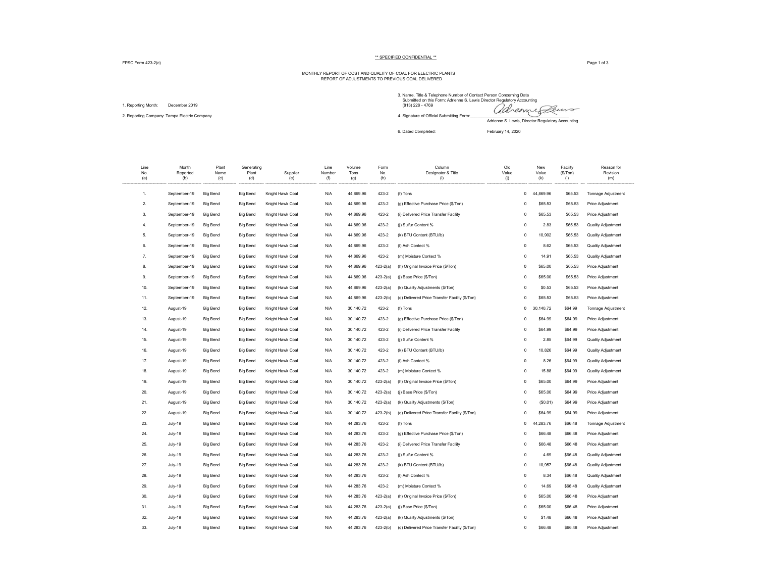FPSC Form 423-2(c) Page 1 of 3

# MONTHLY REPORT OF COST AND QUALITY OF COAL FOR ELECTRIC PLANTS REPORT OF ADJUSTMENTS TO PREVIOUS COAL DELIVERED

1. Reporting Month: December 2019

3. Name, Title & Telephone Number of Contact Person Concerning Data Submitted on this Form: Adrienne S. Lewis Director Regulatory Accounting 1. Reporting Month: December 2019<br>2. Reporting Company: Tampa Electric Company and the company and the company of Official Submitting Form: and Submitting Form: and the company of Official Submitting Form: and the company Adrienne S. Lewis, Director Regulatory Accounting

6. Dated Completed: February 14, 2020

| Line<br>No.<br>(a) | Month<br>Reported<br>(b) | Plant<br>Name<br>(c) | Generating<br>Plant<br>(d) | Supplier<br>(e)  | Line<br>Number<br>(f) | Volume<br>Tons<br>(g) | Form<br>No.<br>(h) | Column<br>Designator & Title<br>(i)            | Old<br>Value<br>(j) | New<br>Value<br>(k) | Facility<br>(S/Ton)<br>(1) | Reason for<br>Revision<br>(m) |
|--------------------|--------------------------|----------------------|----------------------------|------------------|-----------------------|-----------------------|--------------------|------------------------------------------------|---------------------|---------------------|----------------------------|-------------------------------|
| 1.                 | September-19             | <b>Big Bend</b>      | <b>Big Bend</b>            | Knight Hawk Coal | N/A                   | 44,869.96             | 423-2              | (f) Tons                                       | $\mathsf 0$         | 44,869.96           | \$65.53                    | Tonnage Adjustment            |
| $\overline{2}$     | September-19             | <b>Big Bend</b>      | <b>Big Bend</b>            | Knight Hawk Coal | N/A                   | 44,869.96             | 423-2              | (g) Effective Purchase Price (\$/Ton)          | $\overline{0}$      | \$65.53             | \$65.53                    | Price Adjustment              |
| 3,                 | September-19             | <b>Big Bend</b>      | <b>Big Bend</b>            | Knight Hawk Coal | N/A                   | 44,869.96             | 423-2              | (i) Delivered Price Transfer Facility          | $\mathbf 0$         | \$65.53             | \$65.53                    | Price Adjustment              |
| 4.                 | September-19             | <b>Big Bend</b>      | <b>Big Bend</b>            | Knight Hawk Coal | N/A                   | 44,869.96             | 423-2              | (j) Sulfur Content %                           | $\mathbf 0$         | 2.83                | \$65.53                    | <b>Quality Adjustment</b>     |
| 5.                 | September-19             | <b>Big Bend</b>      | <b>Big Bend</b>            | Knight Hawk Coal | N/A                   | 44.869.96             | 423-2              | (k) BTU Content (BTU/lb)                       | $\overline{0}$      | 10,902              | \$65.53                    | <b>Quality Adjustment</b>     |
| 6.                 | September-19             | <b>Big Bend</b>      | <b>Big Bend</b>            | Knight Hawk Coal | N/A                   | 44,869.96             | 423-2              | (I) Ash Contect %                              | $\,0\,$             | 8.62                | \$65.53                    | Quality Adjustment            |
| 7.                 | September-19             | <b>Big Bend</b>      | <b>Big Bend</b>            | Knight Hawk Coal | N/A                   | 44,869.96             | 423-2              | (m) Moisture Contect %                         | $\mathbf 0$         | 14.91               | \$65.53                    | <b>Quality Adjustment</b>     |
| 8.                 | September-19             | <b>Big Bend</b>      | <b>Big Bend</b>            | Knight Hawk Coal | N/A                   | 44,869.96             | $423 - 2(a)$       | (h) Original Invoice Price (\$/Ton)            | $\mathbf 0$         | \$65.00             | \$65.53                    | Price Adjustment              |
| 9.                 | September-19             | <b>Big Bend</b>      | <b>Big Bend</b>            | Knight Hawk Coal | N/A                   | 44,869.96             | $423 - 2(a)$       | (j) Base Price (\$/Ton)                        | $\overline{0}$      | \$65.00             | \$65.53                    | Price Adjustment              |
| 10.                | September-19             | <b>Big Bend</b>      | <b>Big Bend</b>            | Knight Hawk Coal | N/A                   | 44,869.96             | $423 - 2(a)$       | (k) Quality Adjustments (\$/Ton)               | $\mathbf 0$         | \$0.53              | \$65.53                    | Price Adjustment              |
| 11.                | September-19             | <b>Big Bend</b>      | <b>Big Bend</b>            | Knight Hawk Coal | N/A                   | 44,869.96             | $423 - 2(b)$       | (q) Delivered Price Transfer Facility (\$/Ton) | $^{\circ}$          | \$65.53             | \$65.53                    | Price Adjustment              |
| 12.                | August-19                | <b>Big Bend</b>      | <b>Big Bend</b>            | Knight Hawk Coal | N/A                   | 30,140.72             | 423-2              | (f) Tons                                       | $\Omega$            | 30,140.72           | \$64.99                    | Tonnage Adjustment            |
| 13.                | August-19                | <b>Big Bend</b>      | <b>Big Bend</b>            | Knight Hawk Coal | N/A                   | 30,140.72             | 423-2              | (g) Effective Purchase Price (\$/Ton)          | $^{\circ}$          | \$64.99             | \$64.99                    | Price Adjustment              |
| 14.                | August-19                | <b>Big Bend</b>      | <b>Big Bend</b>            | Knight Hawk Coal | N/A                   | 30,140.72             | 423-2              | (i) Delivered Price Transfer Facility          | $\circ$             | \$64.99             | \$64.99                    | Price Adjustment              |
| 15.                | August-19                | <b>Big Bend</b>      | <b>Big Bend</b>            | Knight Hawk Coal | N/A                   | 30,140.72             | 423-2              | (i) Sulfur Content %                           | $\mathbf 0$         | 2.85                | \$64.99                    | <b>Quality Adjustment</b>     |
| 16.                | August-19                | <b>Big Bend</b>      | <b>Big Bend</b>            | Knight Hawk Coal | N/A                   | 30,140.72             | 423-2              | (k) BTU Content (BTU/lb)                       | $\mathbf 0$         | 10,826              | \$64.99                    | <b>Quality Adjustment</b>     |
| 17.                | August-19                | <b>Big Bend</b>      | <b>Big Bend</b>            | Knight Hawk Coal | N/A                   | 30,140.72             | 423-2              | (I) Ash Contect %                              | $\mathbf 0$         | 8.26                | \$64.99                    | Quality Adjustment            |
| 18.                | August-19                | <b>Big Bend</b>      | <b>Big Bend</b>            | Knight Hawk Coal | N/A                   | 30,140.72             | 423-2              | (m) Moisture Contect %                         | $\mathbf 0$         | 15.88               | \$64.99                    | <b>Quality Adjustment</b>     |
| 19.                | August-19                | <b>Big Bend</b>      | <b>Big Bend</b>            | Knight Hawk Coal | N/A                   | 30,140.72             | $423 - 2(a)$       | (h) Original Invoice Price (\$/Ton)            | $^{\circ}$          | \$65.00             | \$64.99                    | Price Adjustment              |
| 20.                | August-19                | <b>Big Bend</b>      | <b>Big Bend</b>            | Knight Hawk Coal | N/A                   | 30,140.72             | $423 - 2(a)$       | (j) Base Price (\$/Ton)                        | $\mathbf 0$         | \$65.00             | \$64.99                    | Price Adjustment              |
| 21.                | August-19                | <b>Big Bend</b>      | <b>Big Bend</b>            | Knight Hawk Coal | N/A                   | 30,140.72             | $423 - 2(a)$       | (k) Quality Adjustments (\$/Ton)               | $\mathbf 0$         | (S0.01)             | \$64.99                    | Price Adjustment              |
| 22.                | August-19                | <b>Big Bend</b>      | <b>Big Bend</b>            | Knight Hawk Coal | N/A                   | 30,140.72             | $423 - 2(b)$       | (q) Delivered Price Transfer Facility (\$/Ton) | $^{\circ}$          | \$64.99             | \$64.99                    | Price Adjustment              |
| 23.                | July-19                  | <b>Big Bend</b>      | <b>Big Bend</b>            | Knight Hawk Coal | N/A                   | 44,283.76             | 423-2              | (f) Tons                                       | $\mathbf 0$         | 44,283.76           | \$66.48                    | Tonnage Adjustment            |
| 24.                | July-19                  | <b>Big Bend</b>      | <b>Big Bend</b>            | Knight Hawk Coal | N/A                   | 44,283.76             | 423-2              | (g) Effective Purchase Price (\$/Ton)          | $^{\circ}$          | \$66.48             | \$66.48                    | Price Adjustment              |
| 25.                | July-19                  | <b>Big Bend</b>      | <b>Big Bend</b>            | Knight Hawk Coal | N/A                   | 44,283.76             | 423-2              | (i) Delivered Price Transfer Facility          | $\mathbf 0$         | \$66.48             | \$66.48                    | Price Adjustment              |
| 26.                | July-19                  | <b>Big Bend</b>      | <b>Big Bend</b>            | Knight Hawk Coal | N/A                   | 44,283.76             | 423-2              | (i) Sulfur Content %                           | $\mathbf 0$         | 4.69                | \$66.48                    | <b>Quality Adjustment</b>     |
| 27.                | July-19                  | <b>Big Bend</b>      | <b>Big Bend</b>            | Knight Hawk Coal | N/A                   | 44,283.76             | 423-2              | (k) BTU Content (BTU/lb)                       | $\mathbf 0$         | 10,957              | \$66.48                    | <b>Quality Adjustment</b>     |
| 28.                | July-19                  | <b>Big Bend</b>      | <b>Big Bend</b>            | Knight Hawk Coal | N/A                   | 44,283.76             | 423-2              | (I) Ash Contect %                              | $\mathbf 0$         | 8.34                | \$66.48                    | <b>Quality Adjustment</b>     |
| 29.                | July-19                  | <b>Big Bend</b>      | <b>Big Bend</b>            | Knight Hawk Coal | N/A                   | 44,283.76             | 423-2              | (m) Moisture Contect %                         | $\,0\,$             | 14.69               | \$66.48                    | <b>Quality Adjustment</b>     |
| 30.                | July-19                  | <b>Big Bend</b>      | <b>Big Bend</b>            | Knight Hawk Coal | N/A                   | 44,283.76             | 423-2(a)           | (h) Original Invoice Price (\$/Ton)            | $\mathbf 0$         | \$65.00             | \$66.48                    | Price Adjustment              |
| 31.                | July-19                  | <b>Big Bend</b>      | <b>Big Bend</b>            | Knight Hawk Coal | N/A                   | 44,283.76             | $423 - 2(a)$       | (j) Base Price (\$/Ton)                        | $\mathbf 0$         | \$65.00             | \$66.48                    | Price Adjustment              |
| 32.                | July-19                  | <b>Big Bend</b>      | <b>Big Bend</b>            | Knight Hawk Coal | N/A                   | 44,283.76             | $423 - 2(a)$       | (k) Quality Adjustments (\$/Ton)               | $\overline{0}$      | \$1.48              | \$66.48                    | Price Adjustment              |
| 33.                | July-19                  | <b>Big Bend</b>      | <b>Big Bend</b>            | Knight Hawk Coal | N/A                   | 44,283.76             | $423 - 2(b)$       | (q) Delivered Price Transfer Facility (\$/Ton) | $^{\circ}$          | \$66.48             | \$66.48                    | Price Adjustment              |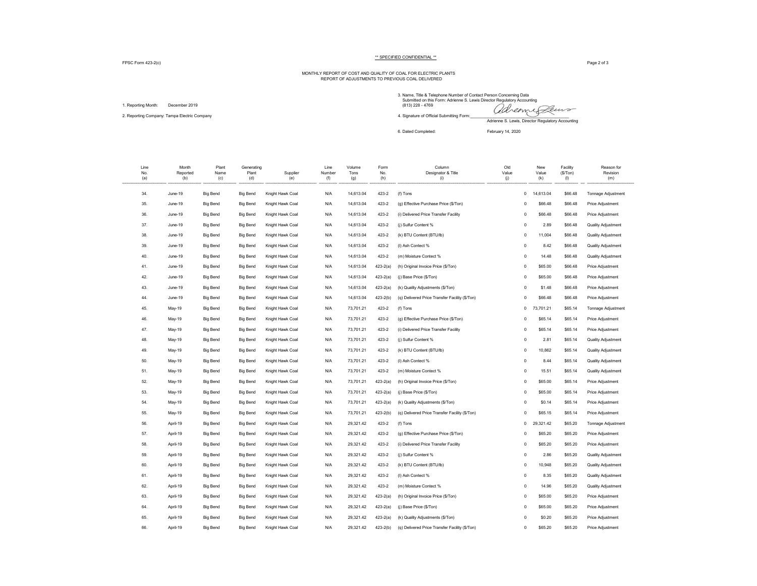FPSC Form 423-2(c) Page 2 of 3

# MONTHLY REPORT OF COST AND QUALITY OF COAL FOR ELECTRIC PLANTS REPORT OF ADJUSTMENTS TO PREVIOUS COAL DELIVERED

1. Reporting Month: December 2019

3. Name, Title & Telephone Number of Contact Person Concerning Data Submitted on this Form: Adrienne S. Lewis Director Regulatory Accounting 1. Reporting Month: December 2019<br>2. Reporting Company: Tampa Electric Company and the company 4. Signature of Official Submitting Form: and the company Call Alexander Company of the company of the company of the company o Adrienne S. Lewis, Director Regulatory Accounting

6. Dated Completed: February 14, 2020

| Line<br>No.<br>(a) | Month<br>Reported<br>(b) | Plant<br>Name<br>(c) | Generating<br>Plant<br>(d) | Supplier<br>(e)  | Line<br>Number<br>(f) | Volume<br>Tons<br>(g) | Form<br>No.<br>(h) | Column<br>Designator & Title<br>(i)            | Old<br>Value<br>(j) | New<br>Value<br>(k) | Facility<br>(S/Ton)<br>(1) | Reason for<br>Revision<br>(m) |
|--------------------|--------------------------|----------------------|----------------------------|------------------|-----------------------|-----------------------|--------------------|------------------------------------------------|---------------------|---------------------|----------------------------|-------------------------------|
| 34.                | June-19                  | <b>Big Bend</b>      | <b>Big Bend</b>            | Knight Hawk Coal | N/A                   | 14,613.04             | 423-2              | (f) Tons                                       | $\mathbf 0$         | 14,613.04           | \$66.48                    | Tonnage Adjustment            |
| 35.                | June-19                  | <b>Big Bend</b>      | <b>Big Bend</b>            | Knight Hawk Coal | N/A                   | 14,613.04             | 423-2              | (g) Effective Purchase Price (\$/Ton)          | $\mathbf 0$         | \$66.48             | \$66.48                    | Price Adjustment              |
| 36.                | June-19                  | <b>Big Bend</b>      | <b>Big Bend</b>            | Knight Hawk Coal | N/A                   | 14,613.04             | 423-2              | (i) Delivered Price Transfer Facility          | $\circ$             | \$66.48             | \$66.48                    | Price Adjustment              |
| 37.                | June-19                  | <b>Big Bend</b>      | <b>Big Bend</b>            | Knight Hawk Coal | N/A                   | 14,613.04             | 423-2              | (j) Sulfur Content %                           | $\Omega$            | 2.89                | \$66.48                    | Quality Adjustment            |
| 38.                | June-19                  | <b>Big Bend</b>      | <b>Big Bend</b>            | Knight Hawk Coal | N/A                   | 14,613.04             | 423-2              | (k) BTU Content (BTU/lb)                       | $\circ$             | 11,004              | \$66.48                    | Quality Adjustment            |
| 39.                | June-19                  | <b>Big Bend</b>      | <b>Big Bend</b>            | Knight Hawk Coal | N/A                   | 14,613.04             | 423-2              | (I) Ash Contect %                              | $\mathbf 0$         | 8.42                | \$66.48                    | Quality Adjustment            |
| 40.                | June-19                  | <b>Big Bend</b>      | Big Bend                   | Knight Hawk Coal | N/A                   | 14,613.04             | 423-2              | (m) Moisture Contect %                         | $\Omega$            | 14.48               | \$66.48                    | Quality Adjustment            |
| 41.                | June-19                  | <b>Big Bend</b>      | <b>Big Bend</b>            | Knight Hawk Coal | N/A                   | 14,613.04             | $423 - 2(a)$       | (h) Original Invoice Price (\$/Ton)            | $\mathbf 0$         | \$65.00             | \$66.48                    | Price Adjustment              |
| 42.                | June-19                  | <b>Big Bend</b>      | <b>Big Bend</b>            | Knight Hawk Coal | N/A                   | 14,613.04             | $423 - 2(a)$       | (j) Base Price (\$/Ton)                        | $\mathbf 0$         | \$65.00             | \$66.48                    | Price Adjustment              |
| 43.                | June-19                  | <b>Big Bend</b>      | <b>Big Bend</b>            | Knight Hawk Coal | N/A                   | 14,613.04             | $423 - 2(a)$       | (k) Quality Adjustments (\$/Ton)               | $\mathbf 0$         | \$1.48              | \$66.48                    | Price Adjustment              |
| 44.                | June-19                  | <b>Big Bend</b>      | <b>Big Bend</b>            | Knight Hawk Coal | N/A                   | 14,613.04             | $423 - 2(b)$       | (q) Delivered Price Transfer Facility (\$/Ton) | $\Omega$            | \$66.48             | \$66.48                    | Price Adjustment              |
| 45.                | May-19                   | <b>Big Bend</b>      | <b>Big Bend</b>            | Knight Hawk Coal | N/A                   | 73,701.21             | 423-2              | (f) Tons                                       | $\mathbf 0$         | 73,701.21           | \$65.14                    | Tonnage Adjustment            |
| 46.                | May-19                   | <b>Big Bend</b>      | <b>Big Bend</b>            | Knight Hawk Coal | N/A                   | 73,701.21             | 423-2              | (g) Effective Purchase Price (\$/Ton)          | $\mathbf 0$         | \$65.14             | \$65.14                    | Price Adjustment              |
| 47.                | May-19                   | <b>Big Bend</b>      | <b>Big Bend</b>            | Knight Hawk Coal | N/A                   | 73,701.21             | 423-2              | (i) Delivered Price Transfer Facility          | $\mathbf 0$         | \$65.14             | \$65.14                    | Price Adjustment              |
| 48.                | May-19                   | <b>Big Bend</b>      | <b>Big Bend</b>            | Knight Hawk Coal | N/A                   | 73,701.21             | 423-2              | (j) Sulfur Content %                           | $\circ$             | 2.81                | \$65.14                    | <b>Quality Adjustment</b>     |
| 49.                | May-19                   | <b>Big Bend</b>      | <b>Big Bend</b>            | Knight Hawk Coal | N/A                   | 73,701.21             | 423-2              | (k) BTU Content (BTU/lb)                       | $\mathbf 0$         | 10,862              | \$65.14                    | Quality Adjustment            |
| 50.                | May-19                   | <b>Big Bend</b>      | <b>Big Bend</b>            | Knight Hawk Coal | N/A                   | 73,701.21             | 423-2              | (I) Ash Contect %                              | $\circ$             | 8.44                | \$65.14                    | <b>Quality Adjustment</b>     |
| 51.                | May-19                   | <b>Big Bend</b>      | <b>Big Bend</b>            | Knight Hawk Coal | N/A                   | 73,701.21             | 423-2              | (m) Moisture Contect %                         | $\mathbf 0$         | 15.51               | \$65.14                    | <b>Quality Adjustment</b>     |
| 52.                | May-19                   | <b>Big Bend</b>      | <b>Big Bend</b>            | Knight Hawk Coal | N/A                   | 73,701.21             | $423 - 2(a)$       | (h) Original Invoice Price (\$/Ton)            | $\mathbf 0$         | \$65.00             | \$65.14                    | Price Adjustment              |
| 53.                | May-19                   | <b>Big Bend</b>      | <b>Big Bend</b>            | Knight Hawk Coal | N/A                   | 73,701.21             | $423 - 2(a)$       | (j) Base Price (\$/Ton)                        | $\circ$             | \$65.00             | \$65.14                    | Price Adjustment              |
| 54.                | May-19                   | <b>Big Bend</b>      | <b>Big Bend</b>            | Knight Hawk Coal | N/A                   | 73,701.21             | $423 - 2(a)$       | (k) Quality Adjustments (\$/Ton)               | $\mathbf 0$         | \$0.14              | \$65.14                    | Price Adjustment              |
| 55.                | May-19                   | <b>Big Bend</b>      | <b>Big Bend</b>            | Knight Hawk Coal | N/A                   | 73,701.21             | $423 - 2(b)$       | (q) Delivered Price Transfer Facility (\$/Ton) | $\Omega$            | \$65.15             | \$65.14                    | Price Adjustment              |
| 56.                | April-19                 | <b>Big Bend</b>      | <b>Big Bend</b>            | Knight Hawk Coal | N/A                   | 29,321.42             | 423-2              | (f) Tons                                       | 0                   | 29,321.42           | \$65.20                    | Tonnage Adjustment            |
| 57.                | April-19                 | <b>Big Bend</b>      | <b>Big Bend</b>            | Knight Hawk Coal | N/A                   | 29,321.42             | 423-2              | (g) Effective Purchase Price (\$/Ton)          | $\mathbf 0$         | \$65.20             | \$65.20                    | Price Adjustment              |
| 58.                | April-19                 | <b>Big Bend</b>      | <b>Big Bend</b>            | Knight Hawk Coal | N/A                   | 29,321.42             | 423-2              | (i) Delivered Price Transfer Facility          | $\mathbf 0$         | \$65.20             | \$65.20                    | Price Adjustment              |
| 59.                | April-19                 | <b>Big Bend</b>      | <b>Big Bend</b>            | Knight Hawk Coal | N/A                   | 29,321.42             | 423-2              | (j) Sulfur Content %                           | $\mathbf 0$         | 2.86                | \$65.20                    | Quality Adjustment            |
| 60.                | April-19                 | <b>Big Bend</b>      | <b>Big Bend</b>            | Knight Hawk Coal | N/A                   | 29,321.42             | 423-2              | (k) BTU Content (BTU/lb)                       | $\circ$             | 10,948              | \$65.20                    | <b>Quality Adjustment</b>     |
| 61.                | April-19                 | <b>Big Bend</b>      | <b>Big Bend</b>            | Knight Hawk Coal | N/A                   | 29,321.42             | 423-2              | (I) Ash Contect %                              | $\circ$             | 8.35                | \$65.20                    | <b>Quality Adjustment</b>     |
| 62.                | April-19                 | <b>Big Bend</b>      | <b>Big Bend</b>            | Knight Hawk Coal | N/A                   | 29,321.42             | 423-2              | (m) Moisture Contect %                         | $\mathbf 0$         | 14.96               | \$65.20                    | <b>Quality Adjustment</b>     |
| 63.                | April-19                 | <b>Big Bend</b>      | <b>Big Bend</b>            | Knight Hawk Coal | N/A                   | 29,321.42             | $423 - 2(a)$       | (h) Original Invoice Price (\$/Ton)            | $\mathbf 0$         | \$65.00             | \$65.20                    | Price Adjustment              |
| 64.                | April-19                 | <b>Big Bend</b>      | <b>Big Bend</b>            | Knight Hawk Coal | N/A                   | 29,321.42             | $423 - 2(a)$       | (j) Base Price (\$/Ton)                        | $\circ$             | \$65.00             | \$65.20                    | Price Adjustment              |
| 65.                | April-19                 | <b>Big Bend</b>      | <b>Big Bend</b>            | Knight Hawk Coal | N/A                   | 29,321.42             | $423 - 2(a)$       | (k) Quality Adjustments (\$/Ton)               | $\mathbf 0$         | \$0.20              | \$65.20                    | Price Adjustment              |
| 66.                | April-19                 | <b>Big Bend</b>      | <b>Big Bend</b>            | Knight Hawk Coal | N/A                   | 29,321.42             | $423 - 2(b)$       | (q) Delivered Price Transfer Facility (\$/Ton) | $\Omega$            | \$65.20             | \$65.20                    | Price Adjustment              |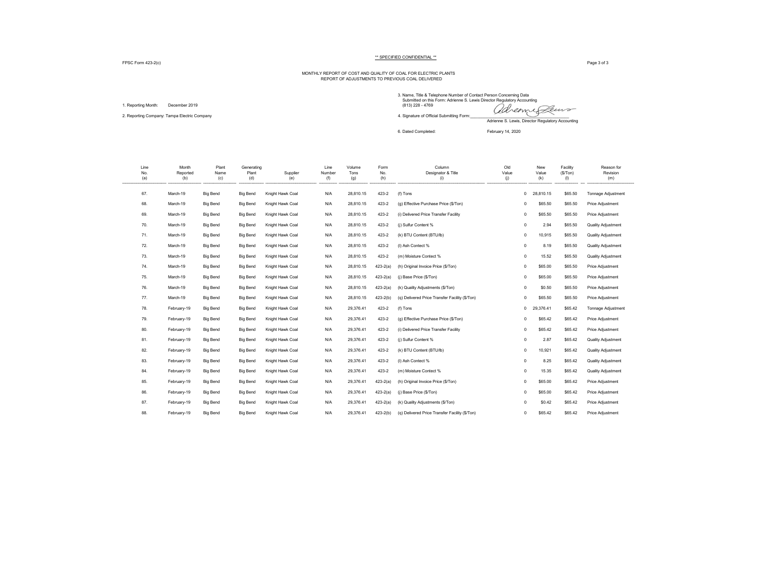FPSC Form 423-2(c) Page 3 of 3

# MONTHLY REPORT OF COST AND QUALITY OF COAL FOR ELECTRIC PLANTS REPORT OF ADJUSTMENTS TO PREVIOUS COAL DELIVERED

1. Reporting Month: December 2019

3. Name, Title & Telephone Number of Contact Person Concerning Data Submitted on this Form: Adrienne S. Lewis Director Regulatory Accounting 1. Reporting Month: December 2019 Precember 2019<br>2. Reporting Company: Tampa Electric Company Precember 2019 Preceding Form: A. Signature of Official Submitting Form: and Aller Company Form: and the Submitting Form: Aller Adrienne S. Lewis, Director Regulatory Accounting 6. Dated Completed: February 14, 2020

| Line<br>No.<br>(a) | Month<br>Reported<br>(b) | Plant<br>Name<br>(c) | Generating<br>Plant<br>(d) | Supplier<br>(e)  | Line<br>Number<br>(f) | Volume<br>Tons<br>(g) | Form<br>No.<br>(h) | Column<br>Designator & Title<br>(i)            | Old<br>Value<br>(i) | New<br>Value<br>(k)       | Facility<br>(S/Ton)<br>(1) | Reason for<br>Revision<br>(m) |
|--------------------|--------------------------|----------------------|----------------------------|------------------|-----------------------|-----------------------|--------------------|------------------------------------------------|---------------------|---------------------------|----------------------------|-------------------------------|
| 67.                | March-19                 | <b>Big Bend</b>      | <b>Big Bend</b>            | Knight Hawk Coal | N/A                   | 28,810.15             | 423-2              | (f) Tons                                       |                     | 28,810.15<br>$\mathbf{0}$ | \$65.50                    | Tonnage Adjustment            |
| 68.                | March-19                 | <b>Big Bend</b>      | <b>Big Bend</b>            | Knight Hawk Coal | N/A                   | 28,810.15             | 423-2              | (g) Effective Purchase Price (\$/Ton)          |                     | \$65.50<br>$\circ$        | \$65.50                    | Price Adjustment              |
| 69.                | March-19                 | <b>Big Bend</b>      | <b>Big Bend</b>            | Knight Hawk Coal | N/A                   | 28,810.15             | 423-2              | (i) Delivered Price Transfer Facility          |                     | \$65.50<br>$\circ$        | \$65.50                    | Price Adjustment              |
| 70.                | March-19                 | <b>Big Bend</b>      | <b>Big Bend</b>            | Knight Hawk Coal | N/A                   | 28,810.15             | 423-2              | (i) Sulfur Content %                           |                     | 2.94<br>$\circ$           | \$65.50                    | <b>Quality Adjustment</b>     |
| 71.                | March-19                 | <b>Big Bend</b>      | <b>Big Bend</b>            | Knight Hawk Coal | N/A                   | 28,810.15             | 423-2              | (k) BTU Content (BTU/lb)                       |                     | 10,915<br>$\circ$         | \$65.50                    | Quality Adjustment            |
| 72.                | March-19                 | <b>Big Bend</b>      | <b>Big Bend</b>            | Knight Hawk Coal | N/A                   | 28,810.15             | 423-2              | (I) Ash Contect %                              |                     | 8.19<br>$\circ$           | \$65.50                    | <b>Quality Adjustment</b>     |
| 73.                | March-19                 | <b>Big Bend</b>      | <b>Big Bend</b>            | Knight Hawk Coal | N/A                   | 28,810.15             | 423-2              | (m) Moisture Contect %                         |                     | $\mathbf 0$<br>15.52      | \$65.50                    | <b>Quality Adjustment</b>     |
| 74.                | March-19                 | <b>Big Bend</b>      | <b>Big Bend</b>            | Knight Hawk Coal | N/A                   | 28,810.15             | $423 - 2(a)$       | (h) Original Invoice Price (\$/Ton)            |                     | $\mathbf 0$<br>\$65.00    | \$65.50                    | Price Adjustment              |
| 75.                | March-19                 | <b>Big Bend</b>      | <b>Big Bend</b>            | Knight Hawk Coal | N/A                   | 28,810.15             | $423 - 2(a)$       | (i) Base Price (\$/Ton)                        |                     | $\mathbf 0$<br>\$65.00    | \$65.50                    | Price Adjustment              |
| 76.                | March-19                 | <b>Big Bend</b>      | <b>Big Bend</b>            | Knight Hawk Coal | N/A                   | 28,810.15             | $423 - 2(a)$       | (k) Quality Adjustments (\$/Ton)               |                     | \$0.50<br>$\circ$         | \$65.50                    | Price Adjustment              |
| 77.                | March-19                 | <b>Big Bend</b>      | <b>Big Bend</b>            | Knight Hawk Coal | N/A                   | 28,810.15             | $423 - 2(b)$       | (q) Delivered Price Transfer Facility (\$/Ton) |                     | \$65.50<br>$^{\circ}$     | \$65.50                    | Price Adjustment              |
| 78.                | February-19              | <b>Big Bend</b>      | <b>Big Bend</b>            | Knight Hawk Coal | N/A                   | 29,376.41             | 423-2              | (f) Tons                                       |                     | 29,376.41<br>$^{\circ}$   | \$65.42                    | Tonnage Adjustment            |
| 79.                | February-19              | <b>Big Bend</b>      | <b>Big Bend</b>            | Knight Hawk Coal | N/A                   | 29,376.41             | 423-2              | (g) Effective Purchase Price (\$/Ton)          |                     | \$65.42<br>$\circ$        | \$65.42                    | Price Adjustment              |
| 80.                | February-19              | <b>Big Bend</b>      | <b>Big Bend</b>            | Knight Hawk Coal | N/A                   | 29,376.41             | 423-2              | (i) Delivered Price Transfer Facility          |                     | \$65.42<br>$\circ$        | \$65.42                    | Price Adjustment              |
| 81.                | February-19              | <b>Big Bend</b>      | <b>Big Bend</b>            | Knight Hawk Coal | N/A                   | 29,376.41             | 423-2              | (i) Sulfur Content %                           |                     | 2.87<br>$\circ$           | \$65.42                    | <b>Quality Adjustment</b>     |
| 82.                | February-19              | <b>Big Bend</b>      | <b>Big Bend</b>            | Knight Hawk Coal | N/A                   | 29,376.41             | 423-2              | (k) BTU Content (BTU/lb)                       |                     | 10,921<br>$\circ$         | \$65.42                    | <b>Quality Adjustment</b>     |
| 83.                | February-19              | <b>Big Bend</b>      | <b>Big Bend</b>            | Knight Hawk Coal | N/A                   | 29,376.41             | 423-2              | (I) Ash Contect %                              |                     | 8.25<br>$\mathbf 0$       | \$65.42                    | <b>Quality Adjustment</b>     |
| 84.                | February-19              | <b>Big Bend</b>      | <b>Big Bend</b>            | Knight Hawk Coal | N/A                   | 29.376.41             | 423-2              | (m) Moisture Contect %                         |                     | 15.35<br>$\Omega$         | \$65.42                    | <b>Quality Adjustment</b>     |
| 85.                | February-19              | <b>Big Bend</b>      | <b>Big Bend</b>            | Knight Hawk Coal | N/A                   | 29.376.41             | $423 - 2(a)$       | (h) Original Invoice Price (\$/Ton)            |                     | $\mathbf 0$<br>\$65.00    | \$65.42                    | Price Adjustment              |
| 86.                | February-19              | <b>Big Bend</b>      | <b>Big Bend</b>            | Knight Hawk Coal | N/A                   | 29,376.41             | $423 - 2(a)$       | (i) Base Price (\$/Ton)                        |                     | $\mathbf 0$<br>\$65.00    | \$65.42                    | Price Adjustment              |
| 87.                | February-19              | <b>Big Bend</b>      | <b>Big Bend</b>            | Knight Hawk Coal | N/A                   | 29,376.41             | $423 - 2(a)$       | (k) Quality Adjustments (\$/Ton)               |                     | $\Omega$<br>\$0.42        | \$65.42                    | Price Adjustment              |
| 88.                | February-19              | Big Bend             | <b>Big Bend</b>            | Knight Hawk Coal | N/A                   | 29,376.41             | $423-2(b)$         | (q) Delivered Price Transfer Facility (\$/Ton) |                     | \$65.42<br>$\Omega$       | \$65.42                    | Price Adjustment              |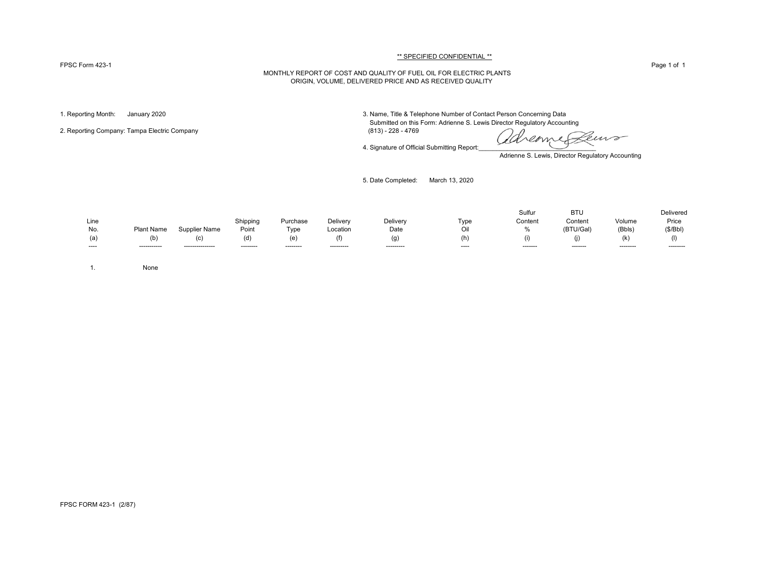#### FPSC Form 423-1 Page 1 of 1

#### \*\* SPECIFIED CONFIDENTIAL \*\*

### MONTHLY REPORT OF COST AND QUALITY OF FUEL OIL FOR ELECTRIC PLANTS ORIGIN, VOLUME, DELIVERED PRICE AND AS RECEIVED QUALITY

2. Reporting Company: Tampa Electric Company

1. Reporting Month: January 2020 3. Name, Title & Telephone Number of Contact Person Concerning Data Submitted on this Form: Adrienne S. Lewis Director Regulatory Accounting (813) - 228 - 4769

4. Signature of Official Submitting Report:

euro reame

Adrienne S. Lewis, Director Regulatory Accounting

5. Date Completed: March 13, 2020

|       |                   |                  |           |                  |            |           |       | Sulfur   | <b>BTL</b> |           | <b>Delivered</b> |
|-------|-------------------|------------------|-----------|------------------|------------|-----------|-------|----------|------------|-----------|------------------|
| Line  |                   |                  | Shipping  | Purchase         | Delivery   | Delivery  | Tvpe  | Content  | Content    | Volume    | Price            |
| No.   | <b>Plant Name</b> | Supplier Name    | Point     | T <sub>VDE</sub> | Location   | Date      | Oil   | 0/2      | (BTU/Gal)  | (Bbls)    | (S/Bbl)          |
|       |                   | ט                | (d)       | (e)              | (f)        | (g)       | (h)   | (1)      |            | (K)       |                  |
| $---$ | ------------      | ---------------- | --------- | ---------        | ---------- | --------- | $---$ | -------- | --------   | --------- | ---------        |

1. None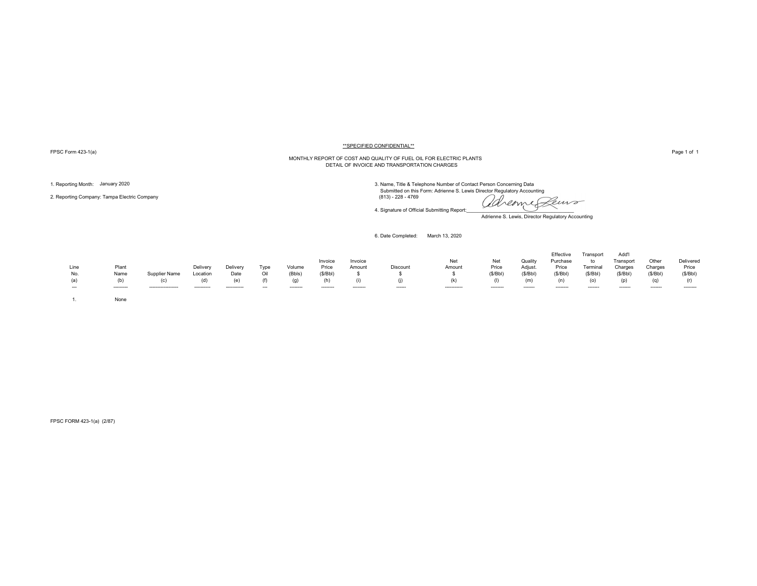FPSC Form 423-1(a) Page 1 of 1

#### \*\*SPECIFIED CONFIDENTIAL\*\*

# MONTHLY REPORT OF COST AND QUALITY OF FUEL OIL FOR ELECTRIC PLANTS DETAIL OF INVOICE AND TRANSPORTATION CHARGES

2. Reporting Company: Tampa Electric Company (813) - 228 - 4769

1. Reporting Month: January 2020<br>3. Name, Title & Telephone Number of Contact Person Concerning Data<br>3. Name, Title & Telephone Number of Contact Person Concerning Data

adreame Peuro

Adrienne S. Lewis, Director Regulatory Accounting

6. Date Completed: March 13, 2020

4. Signature of Official Submitting Report:

| Line<br>No.<br>(a)<br>$- - -$ | Plant<br>Name<br>(b)<br>--------- | Supplier Name<br>(C)<br>----------------- | Delivery<br>Location<br>(d)<br>----------- | Delivery<br>Date<br>(e)<br>----------- | Type<br>Oil<br>$- - -$ | Volume<br>(Bbls)<br>(g)<br>-------- | Invoice<br>Price<br>(S/Bbl)<br>-------- | Invoice<br>Amount<br>-------- | Discount<br>------ | Net<br>Amount<br>(k)<br>----------- | Net<br>Price<br>(S/Bbl)<br>-------- | Quality<br>Adjust.<br>(S/Bbl)<br>(m)<br>------- | Effective<br>Purchase<br>Price<br>(S/Bbl)<br>(n)<br>-------- | Transport<br>to<br>Terminal<br>(S/Bbl)<br>(0)<br>------- | Add'l<br>Transport<br>Charges<br>(S/Bbl)<br>(p)<br>------- | Other<br>Charges<br>(S/Bbl)<br>(q)<br>------- | Delivered<br>Price<br>(S/Bbl)<br>(r)<br>--------- |
|-------------------------------|-----------------------------------|-------------------------------------------|--------------------------------------------|----------------------------------------|------------------------|-------------------------------------|-----------------------------------------|-------------------------------|--------------------|-------------------------------------|-------------------------------------|-------------------------------------------------|--------------------------------------------------------------|----------------------------------------------------------|------------------------------------------------------------|-----------------------------------------------|---------------------------------------------------|
|                               | None                              |                                           |                                            |                                        |                        |                                     |                                         |                               |                    |                                     |                                     |                                                 |                                                              |                                                          |                                                            |                                               |                                                   |

FPSC FORM 423-1(a) (2/87)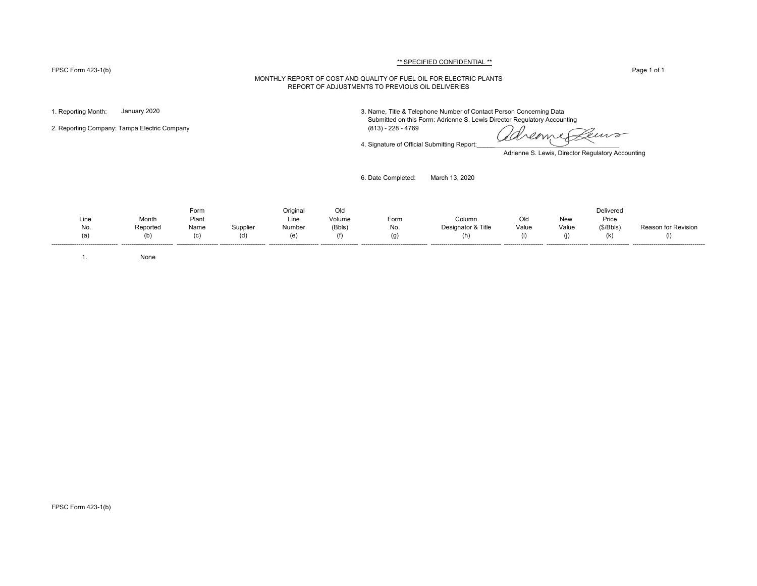#### FPSC Form 423-1(b) Page 1 of 1

# \*\* SPECIFIED CONFIDENTIAL \*\*

#### MONTHLY REPORT OF COST AND QUALITY OF FUEL OIL FOR ELECTRIC PLANTS REPORT OF ADJUSTMENTS TO PREVIOUS OIL DELIVERIES

2. Reporting Company: Tampa Electric Company (813) - 228 - 4769

1. Reporting Month: January 2020 3. Name, Title & Telephone Number of Contact Person Concerning Data Submitted on this Form: Adrienne S. Lewis Director Regulatory Accounting

4. Signature of Official Submitting Report:

Ceuvo Kreame

Adrienne S. Lewis, Director Regulatory Accounting

6. Date Completed: March 13, 2020

Form Original Old Delivered Line Month Plant Line Volume Form Column Old New Price No. Reported Name Supplier Number (Bbls) No. Designator & Title Value Value (\$/Bbls) Reason for Revision (a) (b) (c) (d) (e) (f) (g) (h) (i) (j) (k) (l)

-------------------------------- ------------------------- -------------------- ---------------------- ------------------------ ------------------ -------------------------------- ---------------------------------- ------------------- -------------------- ------------------- -----------------------------------

1. None

FPSC Form 423-1(b)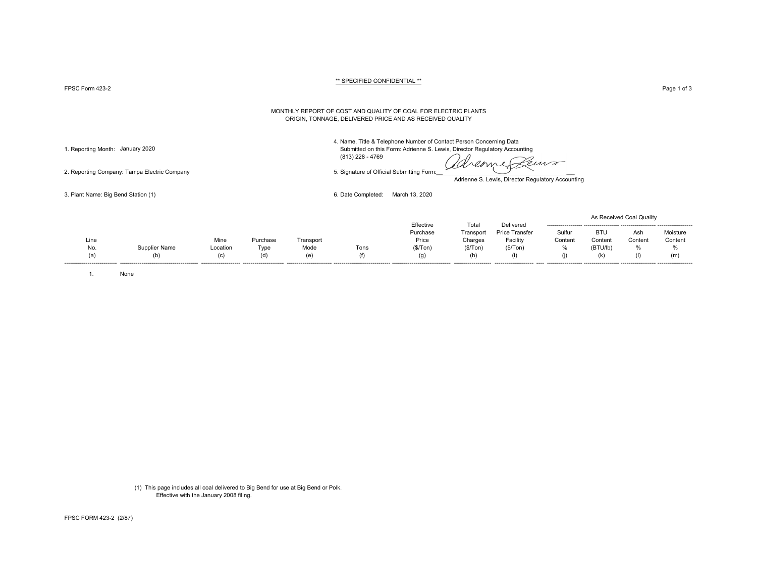FPSC Form 423-2 Page 1 of 3 Page 1 of 3

#### \*\* SPECIFIED CONFIDENTIAL \*\*

#### MONTHLY REPORT OF COST AND QUALITY OF COAL FOR ELECTRIC PLANTS ORIGIN, TONNAGE, DELIVERED PRICE AND AS RECEIVED QUALITY

4. Name, Title & Telephone Number of Contact Person Concerning Data

1. Reporting Month: January 2020 Submitted on this Form: Adrienne S. Lewis, Director Regulatory Accounting (813) 228 - 4769

2. Reporting Company: Tampa Electric Company 6. Signature of Official Submitting Form:

dreame euro

Adrienne S. Lewis, Director Regulatory Accounting

3. Plant Name: Big Bend Station (1) 6. Date Completed: March 13, 2020

|      |               |                       |          |                          |                                 |                                |           |                       |                     |            | As Received Coal Quality |                     |
|------|---------------|-----------------------|----------|--------------------------|---------------------------------|--------------------------------|-----------|-----------------------|---------------------|------------|--------------------------|---------------------|
|      |               |                       |          |                          |                                 | Effective                      | Total     | Delivered             | ------------------- |            |                          |                     |
|      |               |                       |          |                          |                                 | Purchase                       | Transport | <b>Price Transfer</b> | Sulfur              | <b>BTU</b> | Ash                      | Moisture            |
| Line |               | Mine                  | Purchase | Transport                |                                 | Price                          | Charges   | Facility              | Content             | Content    | Content                  | Content             |
| No.  | Supplier Name | Location              | Type     | Mode                     | Tons                            | (\$/ Ton)                      | (\$/ Ton) | (\$/ Ton)             | %                   | (BTU/lb)   | %                        | %                   |
| (a)  | (b)           | (C)                   | (d)      | (e)                      | (T)                             | (g)                            | (h)       | Œ                     |                     | (k)        | (1)                      | (m)                 |
|      |               | --------------------- |          | ------------------------ | ------------------------------- | ------------------------------ |           |                       | ------------------- |            | -------------------      | ------------------- |

1. None

(1) This page includes all coal delivered to Big Bend for use at Big Bend or Polk. Effective with the January 2008 filing.

FPSC FORM 423-2 (2/87)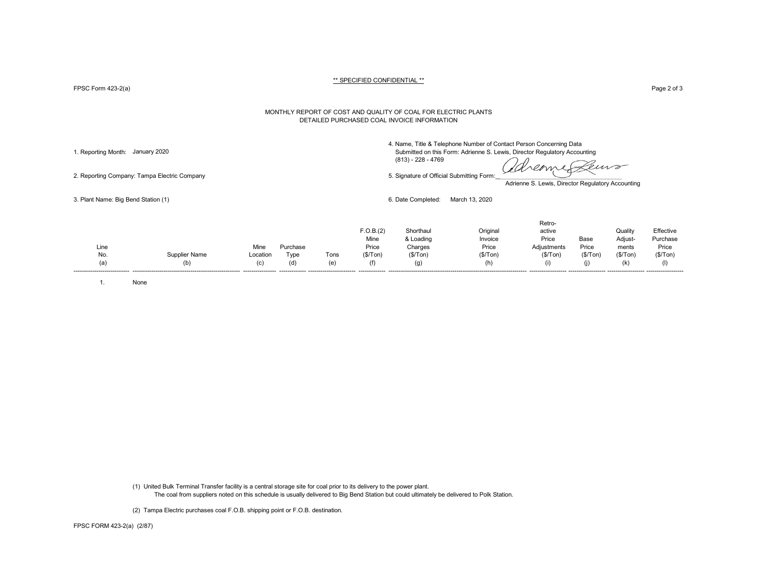FPSC Form 423-2(a) Page 2 of 3

#### MONTHLY REPORT OF COST AND QUALITY OF COAL FOR ELECTRIC PLANTS DETAILED PURCHASED COAL INVOICE INFORMATION

4. Name, Title & Telephone Number of Contact Person Concerning Data

1. Reporting Month: January 2020 Submitted on this Form: Adrienne S. Lewis, Director Regulatory Accounting (813) - 228 - 4769

dareame euro 2. Reporting Company: Tampa Electric Company 6. Signature of Official Submitting Form:

Adrienne S. Lewis, Director Regulatory Accounting

Retro-

3. Plant Name: Big Bend Station (1) 6. Date Completed: March 13, 2020

| Line |                      | Mine                    | Purchase      |                                 | F.O.B.(2)<br>Mine<br>Price | Shorthaul<br>& Loading<br>Charges | Origina<br>Invoice<br>Price | reuv-<br>active<br>Price<br>Adjustments | Base<br>Price | Quality<br>Adjust-<br>ments | Effective<br>Purchase<br>Price |
|------|----------------------|-------------------------|---------------|---------------------------------|----------------------------|-----------------------------------|-----------------------------|-----------------------------------------|---------------|-----------------------------|--------------------------------|
| No.  | <b>Supplier Name</b> | Location                | Tvne          | Tons                            | (\$/ Ton)                  | (\$/Top)                          | (\$/Ton)                    | (\$/Ton)                                | (\$/Ton)      | (\$/Tom)                    | (\$/Tom)                       |
| (a'  | (b)                  | (C)<br>---------------- | (d)<br>------ | (e)<br>------------------------ | (f)                        | (g)                               | (h)                         | --------------                          |               | (k)                         | (1)                            |
|      |                      |                         |               |                                 |                            |                                   |                             |                                         |               |                             |                                |

1. None

(1) United Bulk Terminal Transfer facility is a central storage site for coal prior to its delivery to the power plant. The coal from suppliers noted on this schedule is usually delivered to Big Bend Station but could ultimately be delivered to Polk Station.

(2) Tampa Electric purchases coal F.O.B. shipping point or F.O.B. destination.

FPSC FORM 423-2(a) (2/87)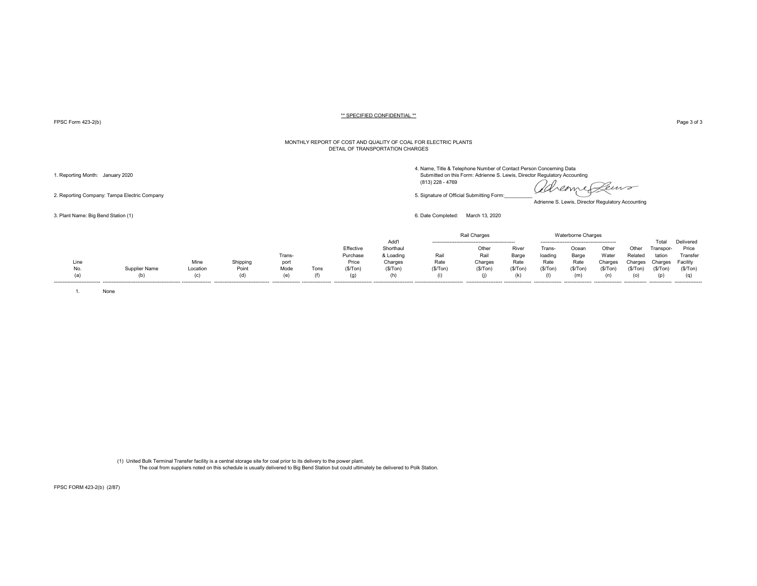FPSC Form 423-2(b) Page 3 of 3

#### MONTHLY REPORT OF COST AND QUALITY OF COAL FOR ELECTRIC PLANTS DETAIL OF TRANSPORTATION CHARGES

4. Name, Title & Telephone Number of Contact Person Concerning Data<br>1. Reporting Month: January 2020 Submitted on this Form: Adrienne S. Lewis, Director Regulatory Accounting

reome Leuro OSA.

Adrienne S. Lewis, Director Regulatory Accounting

|                             |               |          |          |              |                  |           |           |         | Rail Charges |           |          | <b>Waterborne Charges</b> |         |               |                |                  |
|-----------------------------|---------------|----------|----------|--------------|------------------|-----------|-----------|---------|--------------|-----------|----------|---------------------------|---------|---------------|----------------|------------------|
|                             |               |          |          |              |                  |           | Add'      |         |              |           |          |                           |         |               | Total          | Delivered        |
|                             |               |          |          |              |                  | Effective | Shorthaul |         | Other        | River     | Frans-   | Ocear                     | Other   | Othe          | Transpor-      | Price            |
|                             |               |          |          | <b>Trans</b> |                  | Purchase  | & Loading | Rail    | Rail         | Barge     | loading  | Barge                     | Water   | Related       | tation         | Transfer         |
| Line                        |               | Mine     | Shipping | port         |                  | Price     | Charges   | Rate    | Charges      | Rate      | Rate     | Rate                      | Charges | Charges       | Charges        | Facility         |
| No.                         | Supplier Name | Location | Point    | Mode         | Tons             | (\$/Top)  | (\$/Ton   | (S/Ton) | (S/Ton)      | (\$/ Ton) | (\$/Ton) | (S/Ton)                   | (S/Ton  | (\$/Ton       | (S/Ton)        | (S/Ton)          |
| (a)                         |               | ιc       | (d)      |              | (f)              | (g)       |           |         |              |           |          | (m)                       |         |               |                |                  |
| --------------------------- | ---------     |          |          |              | ---------------- |           |           |         |              |           |          | ----------------          |         | ------------- | -------------- | ---------------- |

1. None

(1) United Bulk Terminal Transfer facility is a central storage site for coal prior to its delivery to the power plant. The coal from suppliers noted on this schedule is usually delivered to Big Bend Station but could ultimately be delivered to Polk Station.

FPSC FORM 423-2(b) (2/87)

 (813) 228 - 4769 2. Reporting Company: Tampa Electric Company company company company of Company of Company form:

3. Plant Name: Big Bend Station (1) 6. Date Completed: March 13, 2020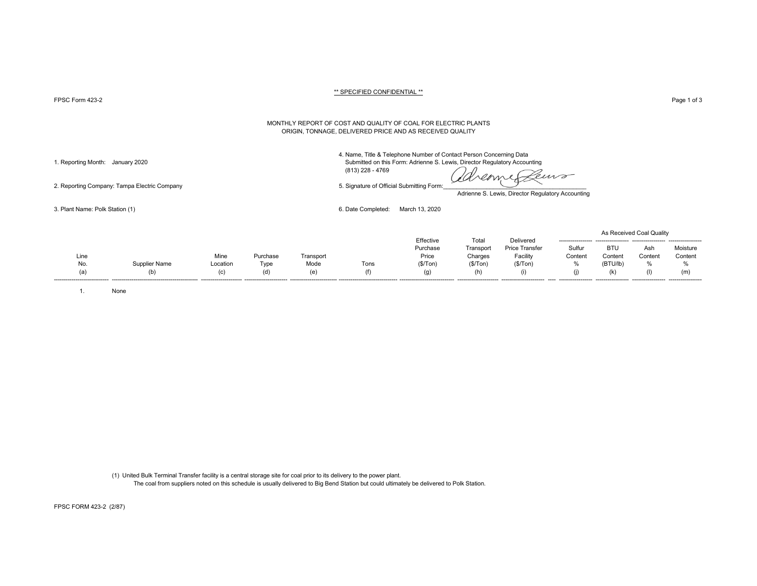FPSC Form 423-2 Page 1 of 3

#### MONTHLY REPORT OF COST AND QUALITY OF COAL FOR ELECTRIC PLANTS ORIGIN, TONNAGE, DELIVERED PRICE AND AS RECEIVED QUALITY

4. Name, Title & Telephone Number of Contact Person Concerning Data 1. Reporting Month: January 2020 Submitted on this Form: Adrienne S. Lewis, Director Regulatory Accounting

(813) 228 - 4769

emp

Adrienne S. Lewis, Director Regulatory Accounting

3. Plant Name: Polk Station (1) 6. Date Completed: March 13, 2020

|      |               |          |          |           |      |           |           |                       |         |            | As Received Coal Quality |          |
|------|---------------|----------|----------|-----------|------|-----------|-----------|-----------------------|---------|------------|--------------------------|----------|
|      |               |          |          |           |      | Effective | Total     | Delivered             |         |            |                          |          |
|      |               |          |          |           |      | Purchase  | Transport | <b>Price Transfer</b> | Sulfur  | <b>BTU</b> | Ash                      | Moisture |
| Line |               | Mine     | Purchase | Transport |      | Price     | Charges   | Facility              | Content | Content    | Conten                   | Content  |
| No.  | Supplier Name | Location | Type     | Mode      | Tons | (\$/Tom)  | (S/Ton)   | (\$/ Ton)             | o.<br>% | (BTU/lb)   |                          | 0/2      |
| (a)  | (b)           | (c)      | (d)      |           | (f)  | (g)       |           |                       | (j)     | (k)        |                          |          |
|      |               |          |          |           |      |           |           |                       |         |            |                          |          |

1. None

(1) United Bulk Terminal Transfer facility is a central storage site for coal prior to its delivery to the power plant. The coal from suppliers noted on this schedule is usually delivered to Big Bend Station but could ultimately be delivered to Polk Station.

2. Reporting Company: Tampa Electric Company 6. Signature of Official Submitting Form:

FPSC FORM 423-2 (2/87)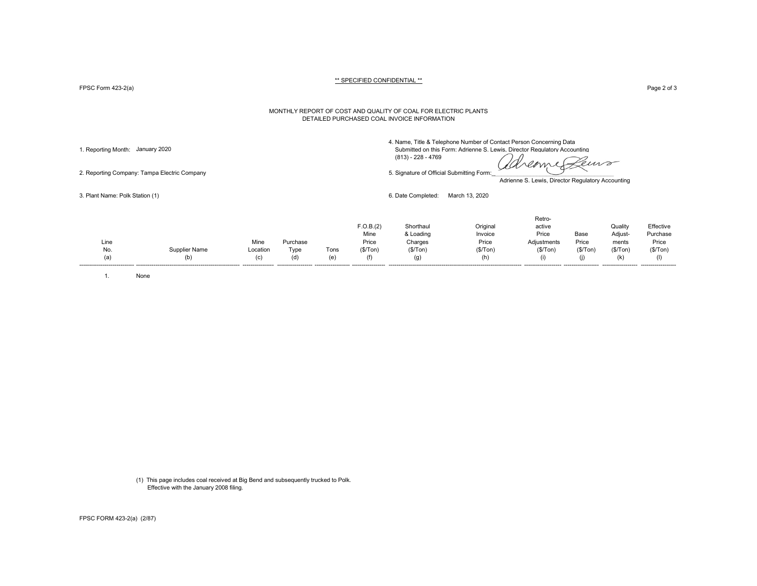FPSC Form 423-2(a) Page 2 of 3

#### MONTHLY REPORT OF COST AND QUALITY OF COAL FOR ELECTRIC PLANTS DETAILED PURCHASED COAL INVOICE INFORMATION

4. Name, Title & Telephone Number of Contact Person Concerning Data 1. Reporting Month: January 2020 Submitted on this Form: Adrienne S. Lewis, Director Regulatory Accounting

dreame euro

2. Reporting Company: Tampa Electric Company 5. Signature of Official Submitting Form:

Adrienne S. Lewis, Director Regulatory Accounting

3. Plant Name: Polk Station (1) 6. Date Completed: March 13, 2020

(813) - 228 - 4769

|      |                      |          |          |      | F.O.B.(2)<br>Mine | Shorthaul<br>& Loading | Original<br>Invoice | Retro-<br>active<br>Price | Base    | Quality<br>Adjust- | Effective<br>Purchase |
|------|----------------------|----------|----------|------|-------------------|------------------------|---------------------|---------------------------|---------|--------------------|-----------------------|
| Line |                      | Mine     | Purchase |      | Price             | Charges                | Price               | Adjustments               | Price   | ments              | Price                 |
| No.  | <b>Supplier Name</b> | Location | Type     | Tons | (S/Ton)           | (\$/Top)               | (\$/Top)            | (\$/Top)                  | (S/Ton) | (\$/Tom)           | (\$/Tom)              |
| (a)  | (b)                  | (c)      | (d)      | (e'  | (f)               | (g)                    | (h)                 | (i)                       | (1)     | (k)                |                       |

1. None

(1) This page includes coal received at Big Bend and subsequently trucked to Polk. Effective with the January 2008 filing.

FPSC FORM 423-2(a) (2/87)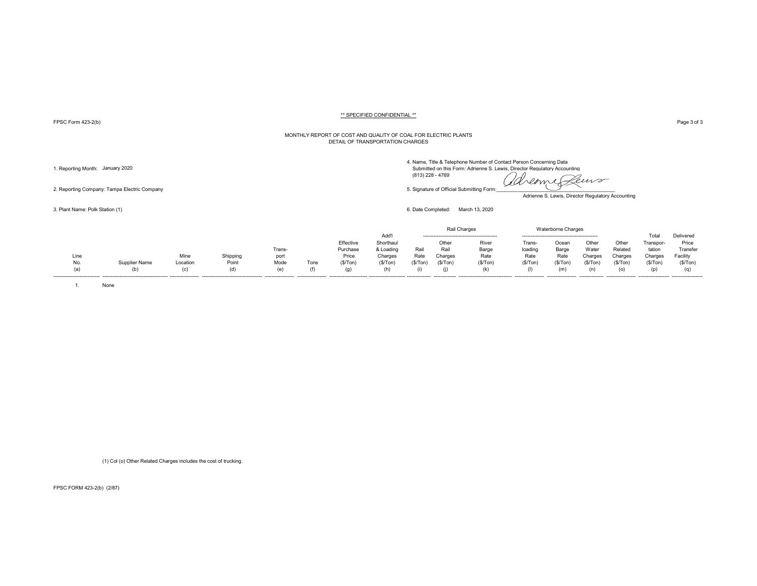FPSC Form 423-2(b) Page 3 of 3

#### MONTHLY REPORT OF COST AND QUALITY OF COAL FOR ELECTRIC PLANTS DETAIL OF TRANSPORTATION CHARGES

4. Name, Title & Telephone Number of Contact Person Concerning Data<br>1. Reporting Month: January 2020 Submitted on this Form: Adrienne S. Lewis, Director Regulatory Accounting

Adrienne S. Lewis, Director Regulatory Accounting

3. Plant Name: Polk Station (1) 6. Date Completed: March 13, 2020

|                              |               |          |                                     |                   |      |                        |           |                | Rail Charges  |                                  |                   | Waterborne Charges |                 |                   |                     |                    |
|------------------------------|---------------|----------|-------------------------------------|-------------------|------|------------------------|-----------|----------------|---------------|----------------------------------|-------------------|--------------------|-----------------|-------------------|---------------------|--------------------|
|                              |               |          |                                     |                   |      |                        | Add'      |                |               |                                  |                   |                    |                 |                   |                     | Delivered          |
|                              |               |          |                                     |                   |      | Effective              | Shorthaul |                | Other         | River                            | Trans-            | Ocear              | Other           | Other             | ranspor-            | Price              |
|                              |               |          |                                     | Trans-            |      | Purchase               | & Loading | Rail           | Rail          | Barge                            | loading           | Barge              | Wate            | Related           | tation              | Transfer           |
| Line                         |               | Mine     | Shipping                            | port              |      | Price                  | Charges   | Rate           | Charges       | Rate                             | Rate              | Rate               | Charges         | Charges           | Charges             | Facility           |
| No.                          | Supplier Name | Location | Point                               | Mode              | Tons | (S/Ton)                | (\$/Top)  | (S/ Ton)       | (\$/Ton       | (S/Ton)                          | (\$/Ton           | (\$/Ton            | (\$/Ton         | '\$/Ton           | (\$/Ton             | (S/Ton)            |
|                              | (b)           |          | (d)                                 | (e)               |      |                        |           |                |               | (k)                              |                   |                    |                 |                   |                     |                    |
| ---------------------------- |               |          | ----------------------------------- | ----------------- |      | ---------------------- |           | -------------- | ------------- | -------------------------------- | ----------------- | -----------------  | --------------- | ----------------- | ------------------- | ------------------ |

1. None

(1) Col (o) Other Related Charges includes the cost of trucking.

FPSC FORM 423-2(b) (2/87)

2. Reporting Company: Tampa Electric Company 5. Signature of Official Submitting Form:\_\_\_\_\_\_\_\_\_\_\_\_\_\_\_\_\_\_\_\_\_\_\_\_\_\_\_\_\_\_\_\_\_\_\_\_\_\_\_\_\_\_\_

(813) 228 - 4769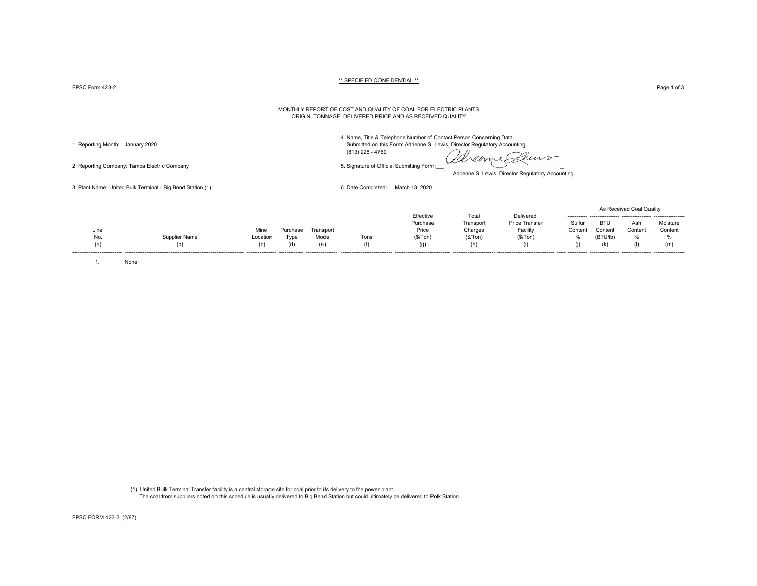$\tt FPSC Form$   $423-2$   $\tt \tt Page 1 of 3$ 

#### \*\* SPECIFIED CONFIDENTIAL \*\*

#### MONTHLY REPORT OF COST AND QUALITY OF COAL FOR ELECTRIC PLANTS ORIGIN, TONNAGE, DELIVERED PRICE AND AS RECEIVED QUALITY

2. Reporting Company: Tampa Electric Company 5. Signature of Official Submitting Form:

4. Name, Title & Telephone Number of Contact Person Concerning Data 1. Reporting Month: January 2020 Submitted on this Form: Adrienne S. Lewis, Director Regulatory Accounting (813) 228 - 4769

dreame Leuro

Adrienne S. Lewis, Director Regulatory Accounting

3. Plant Name: United Bulk Terminal - Big Bend Station (1) 6. Date Completed: March 13, 2020

|                              |                      |                  |                |                    |                                 |                                    |          |                       |         |          | As Received Coal Quality |          |
|------------------------------|----------------------|------------------|----------------|--------------------|---------------------------------|------------------------------------|----------|-----------------------|---------|----------|--------------------------|----------|
|                              |                      |                  |                |                    |                                 | Effective                          | Total    | Delivered             |         |          |                          |          |
|                              |                      |                  |                |                    |                                 | Purchase                           | Transpor | <b>Price Transfer</b> | Sulfur  | BTL      | Ash                      | Moisture |
| Line                         |                      | Mine             | 'urchase       | Transport          |                                 | Price                              | Charges  | Facility              | Content | Content  | Content                  | Content  |
| <b>No</b>                    | <b>Supplier Name</b> | Location         | Type           | Mode               | Tons                            | (S/Ton)                            | (\$/Tom) | (S/Ton)               | %       | (BTU/lb) |                          |          |
|                              |                      | (C)              | (ď             | (e)                |                                 |                                    |          |                       | (1)     |          |                          | (m)      |
| ---------------------------- |                      | ---------------- | -------------- | ------------------ | ------------------------------- | ---------------------------------- |          |                       |         |          |                          |          |

1. None

 (1) United Bulk Terminal Transfer facility is a central storage site for coal prior to its delivery to the power plant. The coal from suppliers noted on this schedule is usually delivered to Big Bend Station but could ultimately be delivered to Polk Station.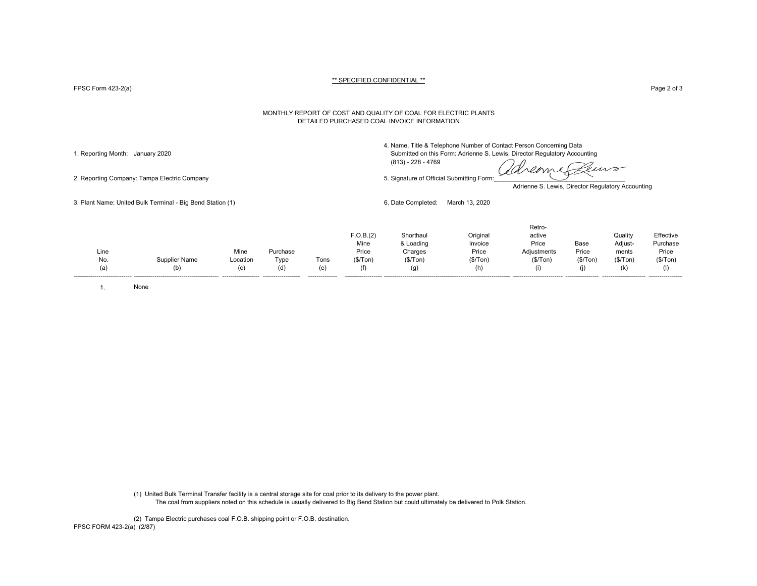FPSC Form 423-2(a) Page 2 of 3

#### MONTHLY REPORT OF COST AND QUALITY OF COAL FOR ELECTRIC PLANTS DETAILED PURCHASED COAL INVOICE INFORMATION

4. Name, Title & Telephone Number of Contact Person Concerning Data

1. Reporting Month: January 2020 Submitted on this Form: Adrienne S. Lewis, Director Regulatory Accounting (813) - 228 - 4769

reame emp

2. Reporting Company: Tampa Electric Company 6. Signature of Official Submitting Form:

Adrienne S. Lewis, Director Regulatory Accounting

3. Plant Name: United Bulk Terminal - Big Bend Station (1) 6. Date Completed: March 13, 2020

|      |                      |          |                    |         |           |           |          | Retro-      |           |           |           |
|------|----------------------|----------|--------------------|---------|-----------|-----------|----------|-------------|-----------|-----------|-----------|
|      |                      |          |                    |         | F.O.B.(2) | Shorthaul | Original | active      |           | Quality   | Effective |
|      |                      |          |                    |         | Mine      | & Loading | Invoice  | Price       | Base      | Adjust-   | Purchase  |
| Line |                      | Mine     | Purchase           |         | Price     | Charges   | Price    | Adiustments | Price     | ments     | Price     |
| No.  | <b>Supplier Name</b> | Location | Type               | Tons    | (\$/Ton)  | (\$/ Ton) | (\$/Top) | (\$/Tom)    | (\$/ Ton) | (\$/ Ton) | (\$/Tom)  |
| (a)  | (b)                  |          | (d)                | (e)     |           | (g)       |          |             |           | (k)       |           |
|      |                      |          | ------------------ | ------- |           |           |          |             |           |           |           |

1. None

(1) United Bulk Terminal Transfer facility is a central storage site for coal prior to its delivery to the power plant. The coal from suppliers noted on this schedule is usually delivered to Big Bend Station but could ultimately be delivered to Polk Station.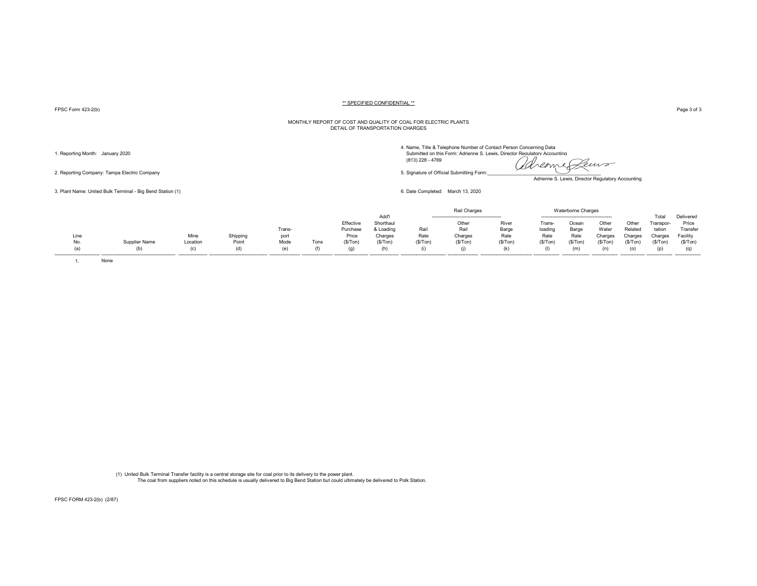FPSC Form 423-2(b) Page 3 of 3

#### MONTHLY REPORT OF COST AND QUALITY OF COAL FOR ELECTRIC PLANTS DETAIL OF TRANSPORTATION CHARGES

4. Name, Title & Telephone Number of Contact Person Concerning Data<br>1. Reporting Month: January 2020 Submitted on this Form: Adrienne S. Lewis, Director Regulatory Accounting (813) 228 - 4769 2. Reporting Company: Tampa Electric Company 5. Signature of Official Submitting Form:<br>2. Reporting Company: Tampa Electric Company

Adrienne S. Lewis, Director Regulatory Accounting

3. Plant Name: United Bulk Terminal - Big Bend Station (1) 6. Date Completed: March 13, 2020

|      |               |          |          |        |      |           |           |          | Charges |         |        | Waterborne Charges |         |         |                       |           |
|------|---------------|----------|----------|--------|------|-----------|-----------|----------|---------|---------|--------|--------------------|---------|---------|-----------------------|-----------|
|      |               |          |          |        |      |           | Add'l     |          |         |         |        |                    |         |         | Total                 | Delivered |
|      |               |          |          |        |      | Effective | Shorthau  |          | Other   | River   | Trans- | Ocear              | Other   | Othe    | <sup>r</sup> ranspor- | Price     |
|      |               |          |          | Trans- |      | Purchase  | o Loadin∩ | Rail     | Rail    | Barge   | loadir | Barge              | Water   | Related | tation                | Transfer  |
| Line |               | Mine     | Shipping | port   |      | Price     | Charges   | Rate     | Charges | Rate    | Rate   | Rate               | Charges | Charges | Charges               | Facilitv  |
| No.  | 3upplier Name | Location | Point    | Mode   | Tons | (\$/Ton)  | (\$/Ton)  | (\$/Ton) | (\$/Ton | (\$/Ton |        | (\$/Ton            | (\$/Ton | (S/Ton  | (S/Ton)               | (S/Top)   |
|      |               |          |          | (e     |      | (g)       | (h)       |          |         | (k      |        | (m)                |         |         |                       | (q)       |
|      |               |          |          |        |      |           |           |          |         |         |        |                    |         |         |                       |           |

1. None

(1) United Bulk Terminal Transfer facility is a central storage site for coal prior to its delivery to the power plant. The coal from suppliers noted on this schedule is usually delivered to Big Bend Station but could ultimately be delivered to Polk Station.

FPSC FORM 423-2(b) (2/87)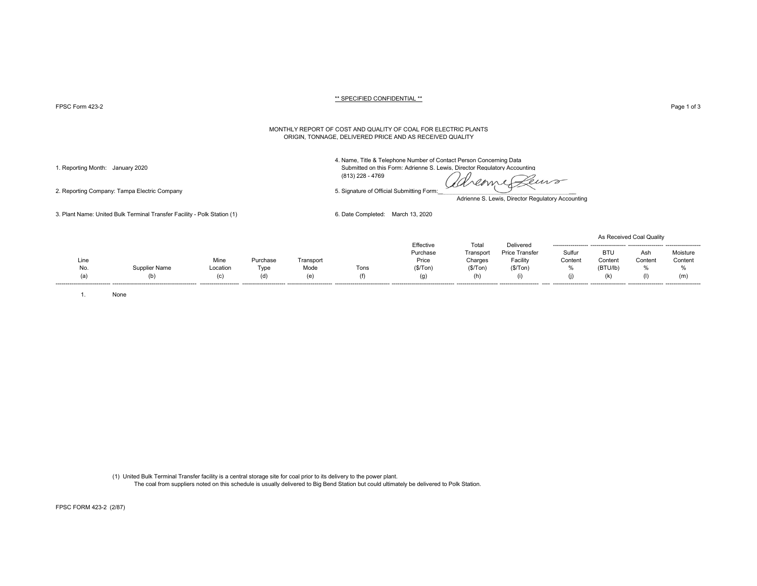PPSC Form 423-2 Page 1 of 3 Page 1 of 3

#### MONTHLY REPORT OF COST AND QUALITY OF COAL FOR ELECTRIC PLANTS ORIGIN, TONNAGE, DELIVERED PRICE AND AS RECEIVED QUALITY

4. Name, Title & Telephone Number of Contact Person Concerning Data

1. Reporting Month: January 2020 Submitted on this Form: Adrienne S. Lewis, Director Regulatory Accounting

(813) 228 - 4769

dreame Leurs

Adrienne S. Lewis, Director Regulatory Accounting

3. Plant Name: United Bulk Terminal Transfer Facility - Polk Station (1) 6. Date Completed: March 13, 2020

|      |               |          |                         |           |      |                                   |           |                       |                     |                     | As Received Coal Quality |          |
|------|---------------|----------|-------------------------|-----------|------|-----------------------------------|-----------|-----------------------|---------------------|---------------------|--------------------------|----------|
|      |               |          |                         |           |      | Effective                         | Tota      | Delivered             |                     |                     |                          |          |
|      |               |          |                         |           |      | Purchase                          | Transport | Price Transfer        | Sulfur              | <b>BTU</b>          | Ash                      | Moisture |
| Line |               | Mine     | Purchase                | Transport |      | Price                             | Charges   | Facility              | Content             | Content             | Content                  | Content  |
| No.  | Supplier Name | Location | Type                    | Mode      | Tons | (\$/Tom)                          | (\$/Ton)  | (\$/ Ton)             | %                   | (BTU/lb)            | %                        | 0/2      |
| (a)  | (b)           |          |                         | (e)       | (1)  | (g)                               | (h)       | (1)                   |                     |                     | (1)                      | (m)      |
|      |               |          | ----------------------- |           |      | --------------------------------- |           | --------------------- | ------------------- | ------------------- |                          |          |

1. None

(1) United Bulk Terminal Transfer facility is a central storage site for coal prior to its delivery to the power plant. The coal from suppliers noted on this schedule is usually delivered to Big Bend Station but could ultimately be delivered to Polk Station.

2. Reporting Company: Tampa Electric Company 5. Signature of Official Submitting Form:

FPSC FORM 423-2 (2/87)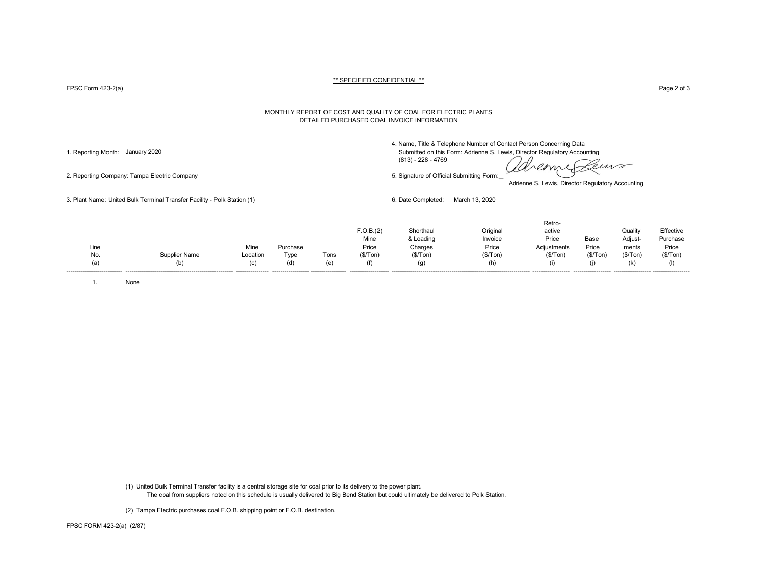FPSC Form 423-2(a) Page 2 of 3

#### MONTHLY REPORT OF COST AND QUALITY OF COAL FOR ELECTRIC PLANTS DETAILED PURCHASED COAL INVOICE INFORMATION

4. Name, Title & Telephone Number of Contact Person Concerning Data

1. Reporting Month: January 2020 Submitted on this Form: Adrienne S. Lewis, Director Regulatory Accounting (813) - 228 - 4769

deme Peuvo

2. Reporting Company: Tampa Electric Company 5. Signature of Official Submitting Form:

Adrienne S. Lewis, Director Regulatory Accounting

3. Plant Name: United Bulk Terminal Transfer Facility - Polk Station (1) 6. Date Completed: March 13, 2020

|  | Line<br>No.<br>(a) | Supplier Name<br>(b) | Mine<br>Location<br>(c) | Purchase<br>Type<br>(d) | Tons<br>(e) | F.O.B.(2)<br>Mine<br>Price<br>(\$/Top)<br>(f) | Shorthaul<br>& Loading<br>Charges<br>(\$/Tom)<br>(g) | Original<br>Invoice<br>Price<br>(S/Ton)<br>(h) | Retro-<br>active<br>Price<br>Adjustments<br>(\$/Tom)<br>(i) | Base<br>Price<br>(\$/ Ton) | Quality<br>Adjust-<br>ments<br>(S/Ton)<br>(k) | Effective<br>Purchase<br>Price<br>(\$/Tom) |
|--|--------------------|----------------------|-------------------------|-------------------------|-------------|-----------------------------------------------|------------------------------------------------------|------------------------------------------------|-------------------------------------------------------------|----------------------------|-----------------------------------------------|--------------------------------------------|
|--|--------------------|----------------------|-------------------------|-------------------------|-------------|-----------------------------------------------|------------------------------------------------------|------------------------------------------------|-------------------------------------------------------------|----------------------------|-----------------------------------------------|--------------------------------------------|

1. None

(1) United Bulk Terminal Transfer facility is a central storage site for coal prior to its delivery to the power plant. The coal from suppliers noted on this schedule is usually delivered to Big Bend Station but could ultimately be delivered to Polk Station.

(2) Tampa Electric purchases coal F.O.B. shipping point or F.O.B. destination.

FPSC FORM 423-2(a) (2/87)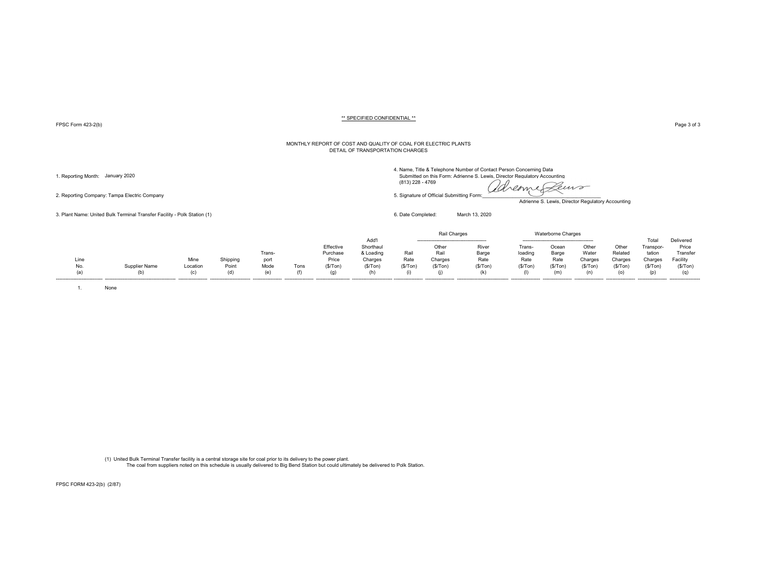FPSC Form 423-2(b) Page 3 of 3

#### MONTHLY REPORT OF COST AND QUALITY OF COAL FOR ELECTRIC PLANTS DETAIL OF TRANSPORTATION CHARGES

2. Reporting Company: Tampa Electric Company 6. Stephano and the step of Company 5. Signature of Official Submitting Form:

3. Plant Name: United Bulk Terminal Transfer Facility - Polk Station (1) 6. Date Completed: March 13, 2020

4. Name, Title & Telephone Number of Contact Person Concerning Data

1. Reporting Month: January 2020 Submitted on this Form: Adrienne S. Lewis, Director Regulatory Accounting (813)<br>(a) 228 - 4769 (813) 228 - 4769 (2000) (813) 228 - 4769

Leuro

Adrienne S. Lewis, Director Regulatory Accounting

|      |               |          |          |                  |      |           |           |          | Rail Charges |                                 |         | <b>Waterborne Charges</b> |         |         |           |           |
|------|---------------|----------|----------|------------------|------|-----------|-----------|----------|--------------|---------------------------------|---------|---------------------------|---------|---------|-----------|-----------|
|      |               |          |          |                  |      |           | Add'      |          |              |                                 |         |                           |         |         | Total     | Delivered |
|      |               |          |          |                  |      | Effective | Shorthaul |          | Other        | River                           | Frans-  | Ocear                     | Other   | Other   | Transpor- | Price     |
|      |               |          |          | Trans-           |      | Purchase  | & Loading | Rail     | Rail         | Barge                           | loading | Barge                     | Water   | Related | tation    | Transfer  |
| Line |               | Mine     | Shipping | port             |      | Price     | Charges   | Rate     | Charges      | Rate                            | Rate    | Rate                      | Charges | Charges | Charges   | Facility  |
| No.  | Supplier Name | Location | Point    | Mode             | Tons | (S/Ton)   | (\$/Tom)  | (\$/Ton) | (S/Ton)      | (S/ Ton)                        | (S/Ton) | (S/Ton)                   | (S/Ton) | (\$/Ton | (S/Ton)   | (S/Ton)   |
| (a)  |               | (n)      | (d)      | (e)              |      |           |           |          |              |                                 |         | (m                        |         | (o)     | (p)       |           |
|      |               |          |          | ---------------- |      |           |           |          |              | ------------------------------- |         |                           |         |         |           |           |

1. None

(1) United Bulk Terminal Transfer facility is a central storage site for coal prior to its delivery to the power plant. The coal from suppliers noted on this schedule is usually delivered to Big Bend Station but could ultimately be delivered to Polk Station.

FPSC FORM 423-2(b) (2/87)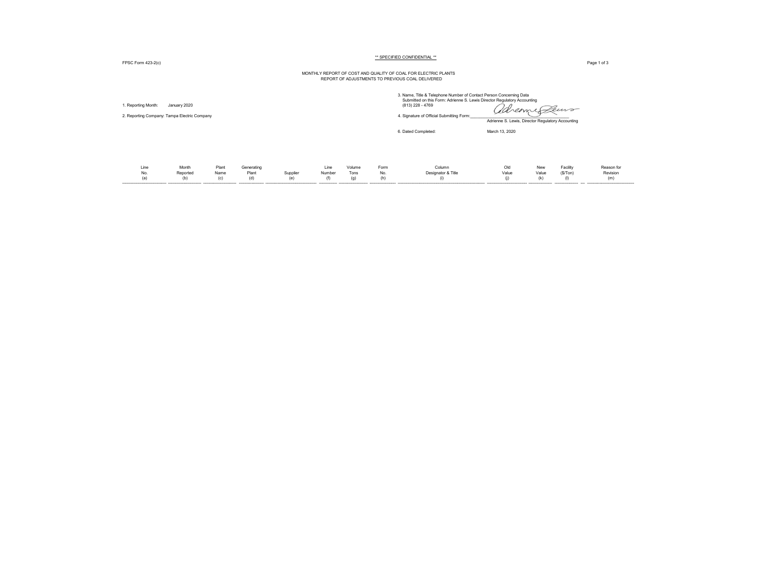FPSC Form 423-2(c) Page 1 of 3

# MONTHLY REPORT OF COST AND QUALITY OF COAL FOR ELECTRIC PLANTS REPORT OF ADJUSTMENTS TO PREVIOUS COAL DELIVERED

| . Reporting Month:                           | January 2020             |                      |                            |                 |                       |                       |                    | 3. Name, Title & Telephone Number of Contact Person Concerning Data<br>Submitted on this Form: Adrienne S. Lewis Director Regulatory Accounting<br>(813) 228 - 4769 | avenue Peuvo                                      |                     |                            |                               |
|----------------------------------------------|--------------------------|----------------------|----------------------------|-----------------|-----------------------|-----------------------|--------------------|---------------------------------------------------------------------------------------------------------------------------------------------------------------------|---------------------------------------------------|---------------------|----------------------------|-------------------------------|
| 2. Reporting Company: Tampa Electric Company |                          |                      |                            |                 |                       |                       |                    | 4. Signature of Official Submitting Form:                                                                                                                           | Adrienne S. Lewis, Director Regulatory Accounting |                     |                            |                               |
|                                              |                          |                      |                            |                 |                       |                       |                    | 6. Dated Completed:                                                                                                                                                 | March 13, 2020                                    |                     |                            |                               |
| Line<br>No.<br>(a)                           | Month<br>Reported<br>(b) | Plant<br>Name<br>(c) | Generating<br>Plant<br>(d) | Supplier<br>(e) | Line<br>Number<br>(f) | Volume<br>Tons<br>(g) | Form<br>No.<br>(h) | Column<br>Designator & Title<br>(i)                                                                                                                                 | Old<br>Value<br>(i)                               | New<br>Value<br>(k) | Facility<br>(S/Ton)<br>(1) | Reason for<br>Revision<br>(m) |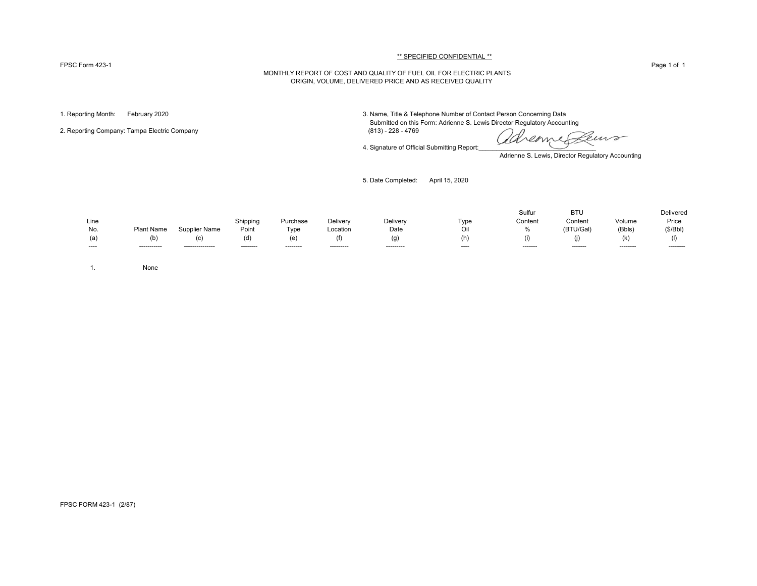#### FPSC Form 423-1 Page 1 of 1

#### \*\* SPECIFIED CONFIDENTIAL \*\*

### MONTHLY REPORT OF COST AND QUALITY OF FUEL OIL FOR ELECTRIC PLANTS ORIGIN, VOLUME, DELIVERED PRICE AND AS RECEIVED QUALITY

2. Reporting Company: Tampa Electric Company

1. Reporting Month: February 2020 3. Name, Title & Telephone Number of Contact Person Concerning Data Submitted on this Form: Adrienne S. Lewis Director Regulatory Accounting (813) - 228 - 4769

4. Signature of Official Submitting Report:

euro reame

Adrienne S. Lewis, Director Regulatory Accounting

5. Date Completed: April 15, 2020

|      |              |                  |           |           |            |            |       | Sulfur   | <b>BTL</b> |                       | Delivered |
|------|--------------|------------------|-----------|-----------|------------|------------|-------|----------|------------|-----------------------|-----------|
| Line |              |                  | Shipping  | Purchase  | Deliverv   | Delivery   | Tvpe  | Content  | Content    | Volume                | Price     |
| No.  | Plant Name   | Supplier Name    | Point     | Type      | Location   | Date       |       |          | (BTU/Gal)  | (Bbls)                | (S/Bbl)   |
| (a)  | (b)          | (C)              |           |           | (f)        | (g         | (h)   |          |            | $\mathbb{R}^n$<br>IN. |           |
| ---- | ------------ | ---------------- | --------- | --------- | ---------- | ---------- | $---$ | -------- | --------   | ---------             | --------- |

1. None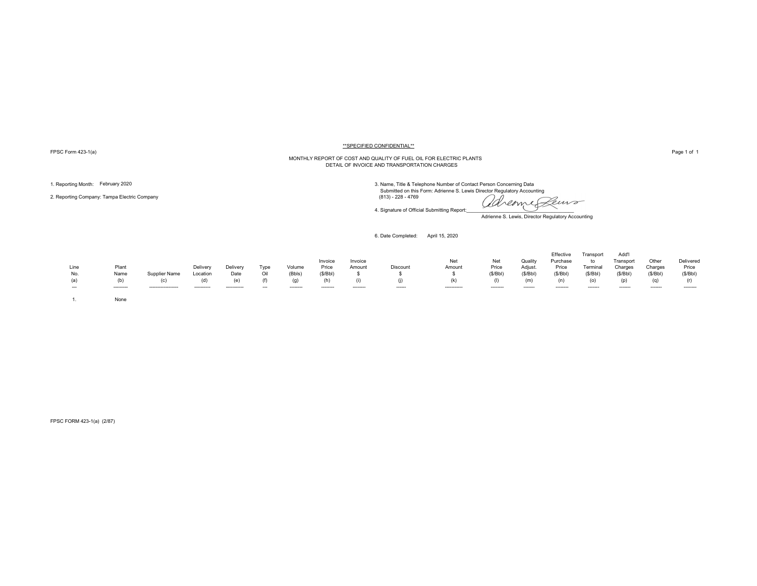FPSC Form 423-1(a) Page 1 of 1

#### \*\*SPECIFIED CONFIDENTIAL\*\*

# MONTHLY REPORT OF COST AND QUALITY OF FUEL OIL FOR ELECTRIC PLANTS DETAIL OF INVOICE AND TRANSPORTATION CHARGES

2. Reporting Company: Tampa Electric Company (813) - 228 - 4769

1. Reporting Month: February 2020<br>3. Name, Title & Telephone Number of Contact Person Concerning Data<br>3. Name, Title & Telephone Number of Contact Person Concerning Data

adreame Peuro

Adrienne S. Lewis, Director Regulatory Accounting

6. Date Completed: April 15, 2020

4. Signature of Official Submitting Report:

| Line<br>No.<br>(a)<br>$\overline{\phantom{a}}$ | Plant<br>Name<br>(b)<br>--------- | Supplier Name<br>(c)<br>------------------ | Delivery<br>Location<br>(d)<br>---------- | Delivery<br>Date<br>(e)<br>----------- | Type<br>Oil<br>(f)<br>$\overline{\phantom{a}}$ | Volume<br>(Bbls)<br>(g)<br>-------- | Invoice<br>Price<br>(S/Bbl)<br>-------- | Invoice<br>Amount<br>-------- | Discount<br>------ | Net<br>Amount<br>(k)<br>----------- | Net<br>Price<br>(S/Bbl)<br>-------- | Quality<br>Adjust.<br>(S/Bbl)<br>(m)<br>------- | Effective<br>Purchase<br>Price<br>(\$/Bbl)<br>(n)<br>-------- | Transport<br>to<br>Terminal<br>(\$/Bbl)<br>(o)<br>------- | Add'l<br>Transport<br>Charges<br>(S/Bbl)<br>(p)<br>------- | Other<br>Charges<br>(S/Bbl)<br>(q)<br>------- | Delivered<br>Price<br>(S/Bbl)<br>(r)<br>-------- |
|------------------------------------------------|-----------------------------------|--------------------------------------------|-------------------------------------------|----------------------------------------|------------------------------------------------|-------------------------------------|-----------------------------------------|-------------------------------|--------------------|-------------------------------------|-------------------------------------|-------------------------------------------------|---------------------------------------------------------------|-----------------------------------------------------------|------------------------------------------------------------|-----------------------------------------------|--------------------------------------------------|
|                                                | None                              |                                            |                                           |                                        |                                                |                                     |                                         |                               |                    |                                     |                                     |                                                 |                                                               |                                                           |                                                            |                                               |                                                  |

FPSC FORM 423-1(a) (2/87)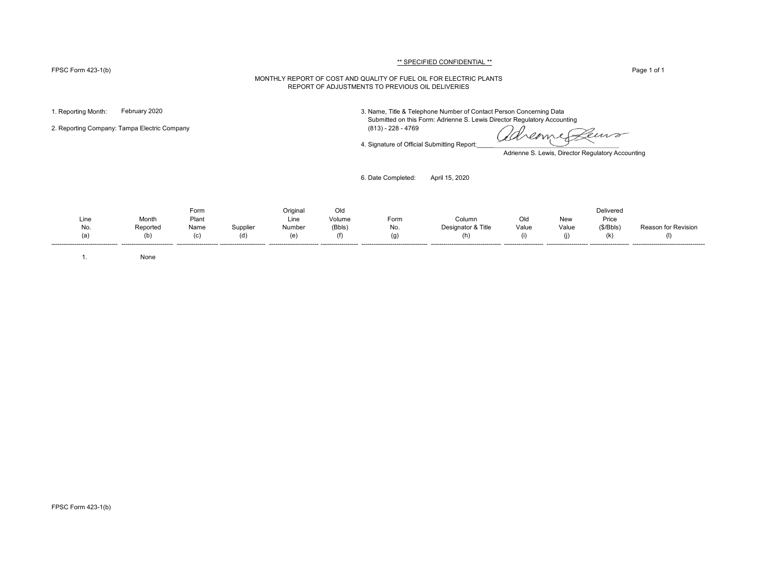#### FPSC Form 423-1(b) Page 1 of 1

# \*\* SPECIFIED CONFIDENTIAL \*\*

#### MONTHLY REPORT OF COST AND QUALITY OF FUEL OIL FOR ELECTRIC PLANTS REPORT OF ADJUSTMENTS TO PREVIOUS OIL DELIVERIES

2. Reporting Company: Tampa Electric Company (813) - 228 - 4769

1. Reporting Month: February 2020 3. Name, Title & Telephone Number of Contact Person Concerning Data Submitted on this Form: Adrienne S. Lewis Director Regulatory Accounting

4. Signature of Official Submitting Report:

Ceuvo Kreame

Adrienne S. Lewis, Director Regulatory Accounting

6. Date Completed: April 15, 2020

Form Original Old Delivered Line Month Plant Line Volume Form Column Old New Price No. Reported Name Supplier Number (Bbls) No. Designator & Title Value Value (\$/Bbls) Reason for Revision (a) (b) (c) (d) (e) (f) (g) (h) (i) (j) (k) (l) -------------------------------- ------------------------- -------------------- ---------------------- ------------------------ ------------------ -------------------------------- ---------------------------------- ------------------- -------------------- ------------------- -----------------------------------

1. None

FPSC Form 423-1(b)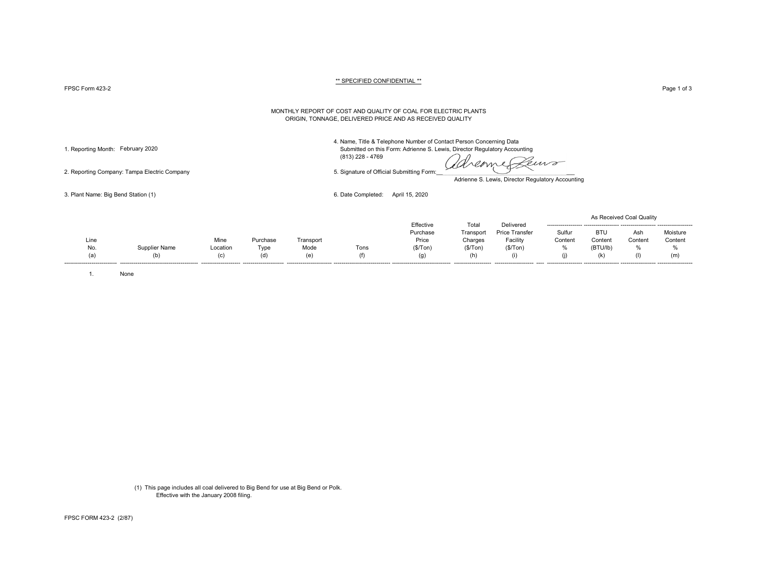FPSC Form 423-2 Page 1 of 3 Page 1 of 3

#### \*\* SPECIFIED CONFIDENTIAL \*\*

#### MONTHLY REPORT OF COST AND QUALITY OF COAL FOR ELECTRIC PLANTS ORIGIN, TONNAGE, DELIVERED PRICE AND AS RECEIVED QUALITY

4. Name, Title & Telephone Number of Contact Person Concerning Data

1. Reporting Month: February 2020 Submitted on this Form: Adrienne S. Lewis, Director Regulatory Accounting (813) 228 - 4769

2. Reporting Company: Tampa Electric Company 6. Signature of Official Submitting Form:

dreame euro

Adrienne S. Lewis, Director Regulatory Accounting

3. Plant Name: Big Bend Station (1) 6. Date Completed: April 15, 2020

| ------------------- ---------<br>BTU<br>Sulfur<br>Purchase<br>Price Transfer<br>Ash<br>Transport<br>Mine<br>Price<br>Facility<br>Charges<br>Content<br>Content<br>Line<br>Content<br>Transport<br>Purchase |  |  |  |           |       |           |  | As Received Coal Quality |                     |
|------------------------------------------------------------------------------------------------------------------------------------------------------------------------------------------------------------|--|--|--|-----------|-------|-----------|--|--------------------------|---------------------|
|                                                                                                                                                                                                            |  |  |  | Effective | Total | Delivered |  |                          | Moisture<br>Content |
| (\$/ Ton)<br>(\$/ Ton)<br>%<br>(\$/ Ton)<br>(BTU/lb)<br>%<br>Mode<br>Supplier Name<br>Tons<br>%<br>No.<br>Location<br>Tvpe                                                                                 |  |  |  |           |       |           |  |                          |                     |
| (1)<br>(b)<br>(m)<br>(e)<br>(k)<br>(h)<br>(a)<br>(g)<br>(d)<br>Œ<br>(C)<br>(†)                                                                                                                             |  |  |  |           |       |           |  |                          |                     |

1. None

(1) This page includes all coal delivered to Big Bend for use at Big Bend or Polk. Effective with the January 2008 filing.

FPSC FORM 423-2 (2/87)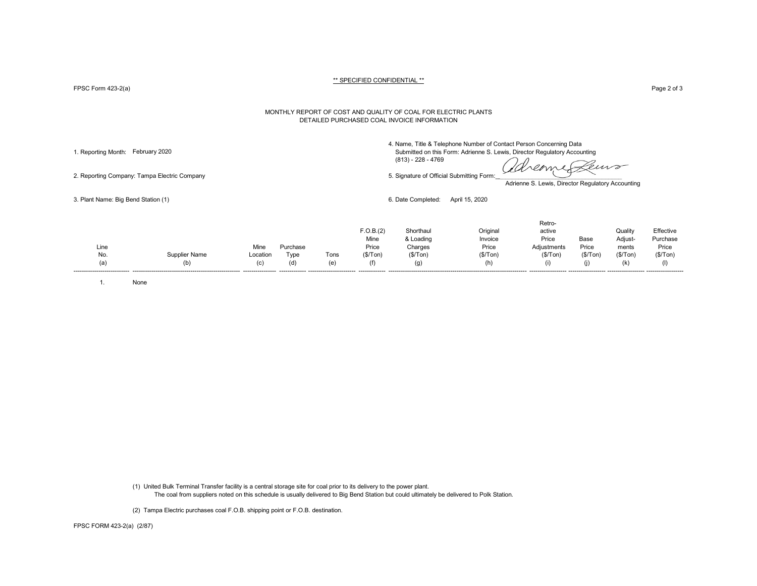FPSC Form 423-2(a) Page 2 of 3

#### MONTHLY REPORT OF COST AND QUALITY OF COAL FOR ELECTRIC PLANTS DETAILED PURCHASED COAL INVOICE INFORMATION

4. Name, Title & Telephone Number of Contact Person Concerning Data

1. Reporting Month: February 2020 Submitted on this Form: Adrienne S. Lewis, Director Regulatory Accounting (813) - 228 - 4769

dreame euro 2. Reporting Company: Tampa Electric Company 6. Signature of Official Submitting Form:

Retro-

Adrienne S. Lewis, Director Regulatory Accounting

3. Plant Name: Big Bend Station (1) 6. Date Completed: April 15, 2020

| Line |                      | Mine                    | Purchase      |                                 | F.O.B.(2)<br>Mine<br>Price | Shorthaul<br>& Loading<br>Charges | Origina<br>Invoice<br>Price | reuv-<br>active<br>Price<br>Adjustments | Base<br>Price | Quality<br>Adjust-<br>ments | Effective<br>Purchase<br>Price |
|------|----------------------|-------------------------|---------------|---------------------------------|----------------------------|-----------------------------------|-----------------------------|-----------------------------------------|---------------|-----------------------------|--------------------------------|
| No.  | <b>Supplier Name</b> | Location                | Tvne          | Tons                            | (\$/ Ton)                  | (\$/Top)                          | (\$/Ton)                    | (\$/Ton)                                | (\$/Ton)      | (\$/Tom)                    | (\$/Tom)                       |
| (a'  | (b)                  | (C)<br>---------------- | (d)<br>------ | (e)<br>------------------------ | (f)                        | (g)                               | (h)                         | --------------                          |               | (k)                         | (1)                            |
|      |                      |                         |               |                                 |                            |                                   |                             |                                         |               |                             |                                |

1. None

(1) United Bulk Terminal Transfer facility is a central storage site for coal prior to its delivery to the power plant. The coal from suppliers noted on this schedule is usually delivered to Big Bend Station but could ultimately be delivered to Polk Station.

(2) Tampa Electric purchases coal F.O.B. shipping point or F.O.B. destination.

FPSC FORM 423-2(a) (2/87)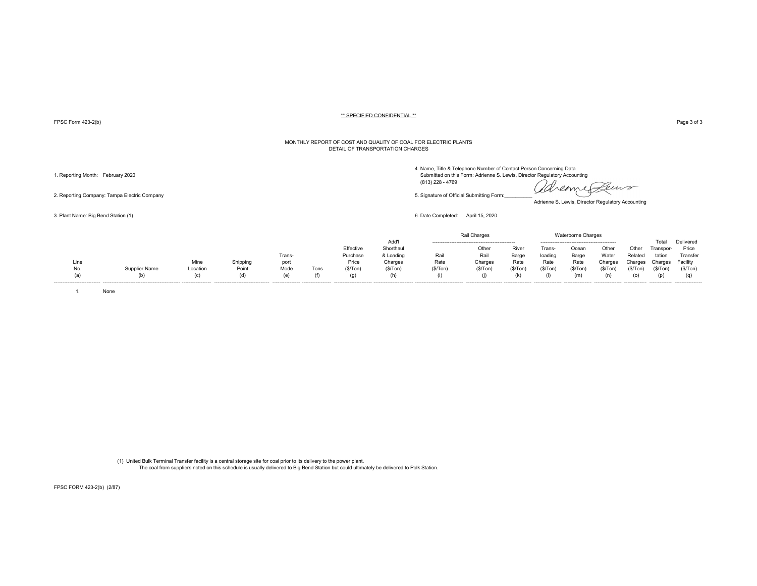FPSC Form 423-2(b) Page 3 of 3

#### MONTHLY REPORT OF COST AND QUALITY OF COAL FOR ELECTRIC PLANTS DETAIL OF TRANSPORTATION CHARGES

4. Name, Title & Telephone Number of Contact Person Concerning Data<br>1. Reporting Month: February 2020 Submitted on this Form: Adrienne S. Lewis, Director Regulatory Accounting

reome Leuro OSA.

Adrienne S. Lewis, Director Regulatory Accounting

3. Plant Name: Big Bend Station (1) 6. Date Completed: April 15, 2020

|                           |               |          |          |                |      |           |           |         | Rail Charges |          |                  | <b>Waterborne Charges</b> |                  |               |                |                  |
|---------------------------|---------------|----------|----------|----------------|------|-----------|-----------|---------|--------------|----------|------------------|---------------------------|------------------|---------------|----------------|------------------|
|                           |               |          |          |                |      |           | Add'l     |         |              |          |                  |                           |                  |               | Total          | Delivered        |
|                           |               |          |          |                |      | Effective | Shorthaul |         | Other        | River    | Trans            | Ocear                     | Other            | Other         | Transpor-      | Price            |
|                           |               |          |          | Trans-         |      | Purchase  | & Loading | Rail    | Rail         | Barge    | loading          | Barge                     | Water            | Relate        | tation         | Transfer         |
| Line                      |               | Mine     | Shipping | port           |      | Price     | Charges   | Rate    | Charges      | Rate     | Rate             | Rate                      | Charges          | Charges       | Charges        | Facility         |
| No.                       | Supplier Name | Location | Point    | Mode           | Tons | (\$/Ton   | (S/ Ton)  | (\$/Ton | (\$/Ton      | (S/ Ton) | (\$/Ton          | (\$/Ton                   | (S/Ton           | (\$/Tor       | (S/Ton)        | (S/Ton)          |
|                           | (b)           |          | (d)      | (e)            |      | (q)       |           |         |              |          |                  |                           |                  |               |                |                  |
| ------------------------- |               |          |          | -------------- |      |           |           |         |              |          | ---------------- | ----------------          | ---------------- | ------------- | -------------- | ---------------- |

1. None

(1) United Bulk Terminal Transfer facility is a central storage site for coal prior to its delivery to the power plant. The coal from suppliers noted on this schedule is usually delivered to Big Bend Station but could ultimately be delivered to Polk Station.

FPSC FORM 423-2(b) (2/87)

 (813) 228 - 4769 2. Reporting Company: Tampa Electric Company company company company of Company of Company form: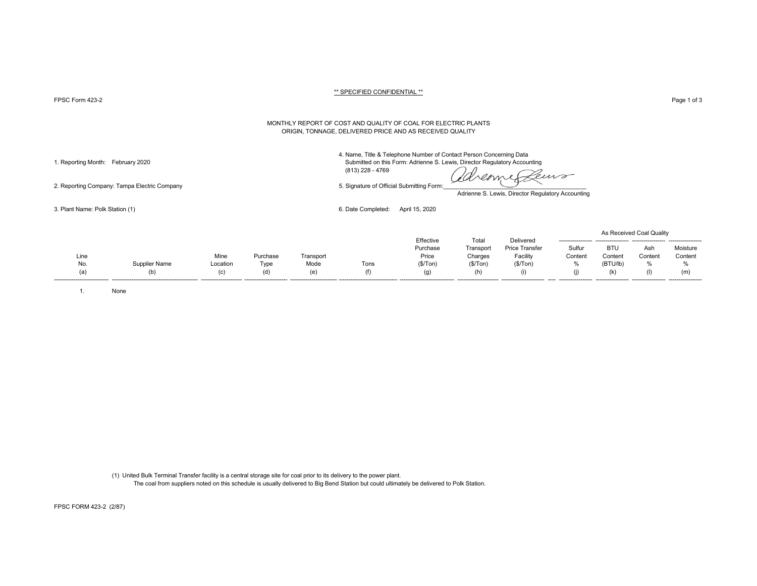FPSC Form 423-2 Page 1 of 3

#### MONTHLY REPORT OF COST AND QUALITY OF COAL FOR ELECTRIC PLANTS ORIGIN, TONNAGE, DELIVERED PRICE AND AS RECEIVED QUALITY

4. Name, Title & Telephone Number of Contact Person Concerning Data 1. Reporting Month: February 2020 Submitted on this Form: Adrienne S. Lewis, Director Regulatory Accounting

(813) 228 - 4769

emp

Adrienne S. Lewis, Director Regulatory Accounting

3. Plant Name: Polk Station (1) 6. Date Completed: April 15, 2020

|      |               |          |          |           |      |           |           |                       |         |                 | As Received Coal Quality |          |
|------|---------------|----------|----------|-----------|------|-----------|-----------|-----------------------|---------|-----------------|--------------------------|----------|
|      |               |          |          |           |      | Effective | Total     | Delivered             |         | --------------- | -----------------        |          |
|      |               |          |          |           |      | Purchase  | Transport | <b>Price Transfer</b> | Sulfur  | <b>BTU</b>      | Ash                      | Moisture |
| Line |               | Mine     | Purchase | Transport |      | Price     | Charges   | Facility              | Content | Content         | Conten                   | Content  |
| No.  | Supplier Name | Location | Type     | Mode      | Tons | (\$/ Ton) | (\$/Tom)  | (\$/ Ton)             | %       | (BTU/lb)        |                          |          |
| (a)  | (b)           | (C)      | (d)      |           |      | (g)       |           | (i)                   |         |                 | (1)                      | (m       |
|      |               |          |          |           |      |           |           |                       |         |                 |                          |          |

1. None

(1) United Bulk Terminal Transfer facility is a central storage site for coal prior to its delivery to the power plant. The coal from suppliers noted on this schedule is usually delivered to Big Bend Station but could ultimately be delivered to Polk Station.

2. Reporting Company: Tampa Electric Company 6. Signature of Official Submitting Form:

FPSC FORM 423-2 (2/87)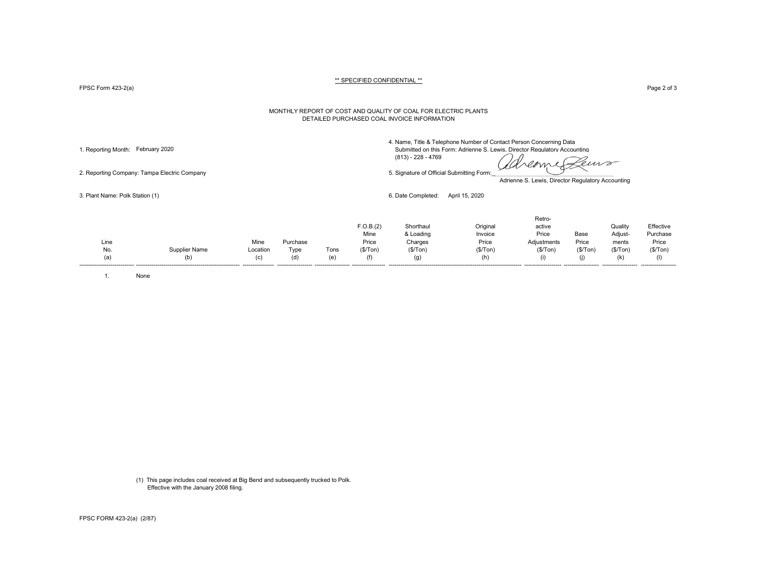FPSC Form 423-2(a) Page 2 of 3

#### MONTHLY REPORT OF COST AND QUALITY OF COAL FOR ELECTRIC PLANTS DETAILED PURCHASED COAL INVOICE INFORMATION

4. Name, Title & Telephone Number of Contact Person Concerning Data 1. Reporting Month: February 2020 Submitted on this Form: Adrienne S. Lewis, Director Regulatory Accounting

(813) - 228 - 4769

dreamer euro

2. Reporting Company: Tampa Electric Company 5. Signature of Official Submitting Form:

Adrienne S. Lewis, Director Regulatory Accounting

3. Plant Name: Polk Station (1) 6. Date Completed: April 15, 2020

| Mine<br>Purchase<br>Line<br>Type<br>Location<br>No.<br><b>Supplier Name</b><br>Tons<br>(a)<br>(c)<br>(e'<br>(d)<br>(b) | F.O.B.(2)<br>Mine<br>Price<br>(S/Ton)<br>(f) | Shorthaul<br>& Loading<br>Charges<br>(\$/Top)<br>(g) | Original<br>Invoice<br>Price<br>(\$/Top)<br>(h) | Retro-<br>active<br>Price<br>Adjustments<br>(S/Ton)<br>(i) | Base<br>Price<br>(S/Ton)<br>(i) | Quality<br>Adjust-<br>ments<br>(\$/Tom)<br>(k) | Effective<br>Purchase<br>Price<br>(\$/Tom) |
|------------------------------------------------------------------------------------------------------------------------|----------------------------------------------|------------------------------------------------------|-------------------------------------------------|------------------------------------------------------------|---------------------------------|------------------------------------------------|--------------------------------------------|
|------------------------------------------------------------------------------------------------------------------------|----------------------------------------------|------------------------------------------------------|-------------------------------------------------|------------------------------------------------------------|---------------------------------|------------------------------------------------|--------------------------------------------|

1. None

(1) This page includes coal received at Big Bend and subsequently trucked to Polk. Effective with the January 2008 filing.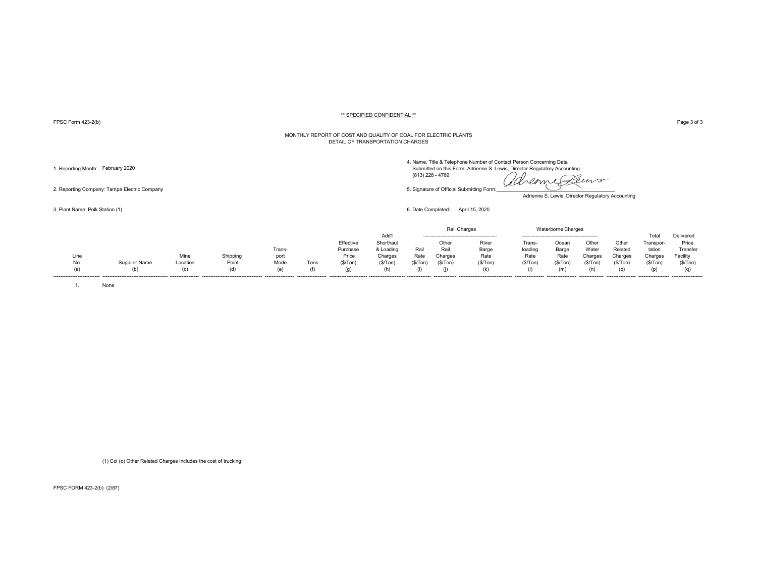FPSC Form 423-2(b) Page 3 of 3

#### MONTHLY REPORT OF COST AND QUALITY OF COAL FOR ELECTRIC PLANTS DETAIL OF TRANSPORTATION CHARGES

4. Name,<br>Submit

Adrienne S. Lewis, Director Regulatory Accounting

3. Plant Name: Polk Station (1) 6. Date Completed: April 15, 2020

|                              |               |          |                                     |                   |      |                        |           |                | Rail Charges  |                                  |                   | Waterborne Charges |                 |                   |                     |                    |
|------------------------------|---------------|----------|-------------------------------------|-------------------|------|------------------------|-----------|----------------|---------------|----------------------------------|-------------------|--------------------|-----------------|-------------------|---------------------|--------------------|
|                              |               |          |                                     |                   |      |                        | Add'      |                |               |                                  |                   |                    |                 |                   |                     | Delivered          |
|                              |               |          |                                     |                   |      | Effective              | Shorthaul |                | Other         | River                            | Trans-            | Ocear              | Other           | Other             | ranspor-            | Price              |
|                              |               |          |                                     | Trans-            |      | Purchase               | & Loading | Rail           | Rail          | Barge                            | loading           | Barge              | Wate            | Related           | tation              | Transfer           |
| Line                         |               | Mine     | Shipping                            | port              |      | Price                  | Charges   | Rate           | Charges       | Rate                             | Rate              | Rate               | Charges         | Charges           | Charges             | Facility           |
| No.                          | Supplier Name | Location | Point                               | Mode              | Tons | (S/Ton)                | (\$/Top)  | (S/ Ton)       | (\$/Ton       | (S/Ton)                          | (\$/Ton           | (\$/Ton            | (\$/Ton         | '\$/Ton           | (\$/Ton             | (S/Ton)            |
|                              | (b)           |          | (d)                                 | (e)               |      |                        |           |                |               | (k)                              |                   |                    |                 |                   |                     |                    |
| ---------------------------- |               |          | ----------------------------------- | ----------------- |      | ---------------------- |           | -------------- | ------------- | -------------------------------- | ----------------- | -----------------  | --------------- | ----------------- | ------------------- | ------------------ |

1. None

(1) Col (o) Other Related Charges includes the cost of trucking.

FPSC FORM 423-2(b) (2/87)

1. Reporting Month: February 2020<br>
Submitted on this Form: Adrienne S. Lewis, Director Regulatory Accounting<br>
Examples of Official Submittion Economy of Official Submittion Economy of Official Submittion Economy of Officia (813) 228 - 4769 2. Reporting Company: Tampa Electric Company Company Company Company Company Company Company Company Company Company Company Company Company Company Company Company Company Company Company Company Company Company Company C

| , ____, ,, ,, , , , , , ,<br>۰S |                                                                    |
|---------------------------------|--------------------------------------------------------------------|
|                                 |                                                                    |
|                                 |                                                                    |
|                                 | e, Title & Telephone Number of Contact Person Concerning Data      |
|                                 | nitted on this Form: Adrienne S. Lewis. Director Requilatory Accou |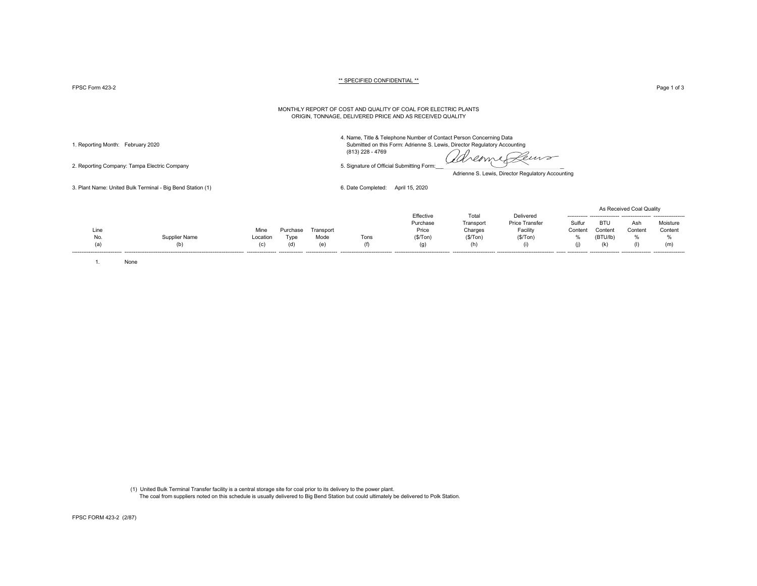$\tt FPSC Form$   $423-2$   $\tt \tt Page 1 of 3$ 

#### \*\* SPECIFIED CONFIDENTIAL \*\*

#### MONTHLY REPORT OF COST AND QUALITY OF COAL FOR ELECTRIC PLANTS ORIGIN, TONNAGE, DELIVERED PRICE AND AS RECEIVED QUALITY

2. Reporting Company: Tampa Electric Company 5. Signature of Official Submitting Form:

4. Name, Title & Telephone Number of Contact Person Concerning Data 1. Reporting Month: February 2020 Submitted on this Form: Adrienne S. Lewis, Director Regulatory Accounting (813) 228 - 4769

dreame Pens

Adrienne S. Lewis, Director Regulatory Accounting

3. Plant Name: United Bulk Terminal - Big Bend Station (1) 6. Date Completed: April 15, 2020

|      |                      |                   |          |                                  |      |           |          |                       |         |          | As Received Coal Quality |                  |
|------|----------------------|-------------------|----------|----------------------------------|------|-----------|----------|-----------------------|---------|----------|--------------------------|------------------|
|      |                      |                   |          |                                  |      | Effective | Total    | Delivered             |         |          |                          | ---------------- |
|      |                      |                   |          |                                  |      | Purchase  | Transpor | <b>Price Transfer</b> | Sulfur  | BTU      | Ash                      | Moisture         |
| Line |                      | Mine              | 'urchase | Transport                        |      | Price     | Charges  | Facility              | Content | Content  | Content                  | Content          |
| No.  | <b>Supplier Name</b> | Location          | Tvpe     | Mode                             | Tons | (S/ Ton)  | (\$/Tom) | (S/Ton)               | %       | (BTU/lb) |                          |                  |
|      |                      | (C)               | (ď       | (e)                              |      |           |          |                       | (1)     |          |                          | (m)              |
|      |                      | ----------------- |          | -------------- ----------------- |      |           |          |                       |         |          |                          |                  |

1. None

 (1) United Bulk Terminal Transfer facility is a central storage site for coal prior to its delivery to the power plant. The coal from suppliers noted on this schedule is usually delivered to Big Bend Station but could ultimately be delivered to Polk Station.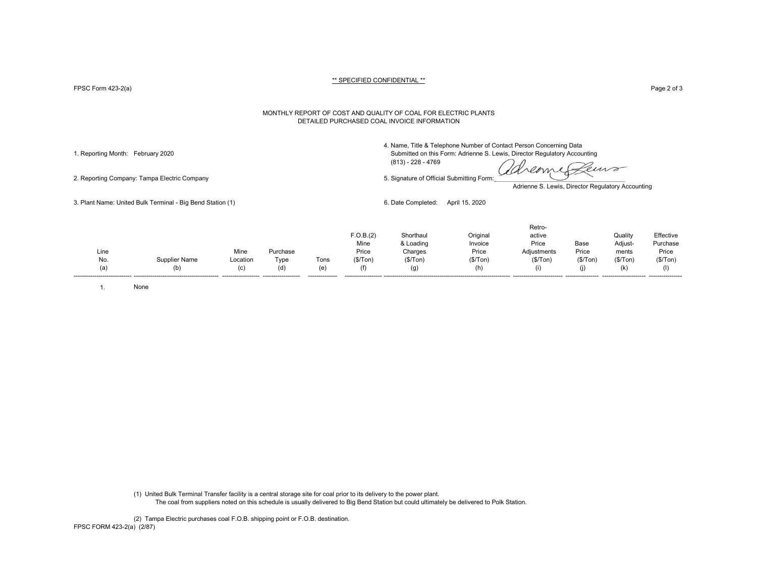FPSC Form 423-2(a) Page 2 of 3

#### MONTHLY REPORT OF COST AND QUALITY OF COAL FOR ELECTRIC PLANTS DETAILED PURCHASED COAL INVOICE INFORMATION

4. Name, Title & Telephone Number of Contact Person Concerning Data

1. Reporting Month: February 2020 Submitted on this Form: Adrienne S. Lewis, Director Regulatory Accounting (813) - 228 - 4769

reame euro

2. Reporting Company: Tampa Electric Company 6. Signature of Official Submitting Form:

Adrienne S. Lewis, Director Regulatory Accounting

3. Plant Name: United Bulk Terminal - Big Bend Station (1) 6. Date Completed: April 15, 2020

| Line<br>No.<br>(a) | Supplier Name<br>(b) | Mine<br>Location<br>(C) | Purchase<br>Type<br>(d) | Tons<br>(e) | F.O.B.(2)<br>Mine<br>Price<br>(\$/Ton) | Shorthau<br>& Loading<br>Charges<br>(\$/ Ton)<br>(g) | Original<br>Invoice<br>Price<br>(S/Ton) | Retro-<br>active<br>Price<br>Adjustments<br>(\$/Tom) | Base<br>Price<br>(\$/ Ton) | Quality<br>Adjust-<br>ments<br>(\$/ Ton)<br>(k) | Effective<br>Purchase<br>Price<br>(\$/Ton) |
|--------------------|----------------------|-------------------------|-------------------------|-------------|----------------------------------------|------------------------------------------------------|-----------------------------------------|------------------------------------------------------|----------------------------|-------------------------------------------------|--------------------------------------------|
|--------------------|----------------------|-------------------------|-------------------------|-------------|----------------------------------------|------------------------------------------------------|-----------------------------------------|------------------------------------------------------|----------------------------|-------------------------------------------------|--------------------------------------------|

1. None

(1) United Bulk Terminal Transfer facility is a central storage site for coal prior to its delivery to the power plant. The coal from suppliers noted on this schedule is usually delivered to Big Bend Station but could ultimately be delivered to Polk Station.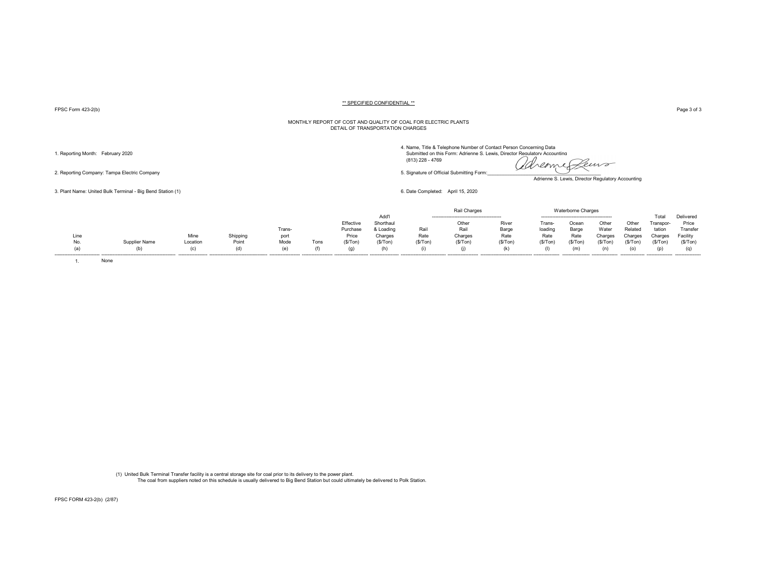FPSC Form 423-2(b) Page 3 of 3

#### MONTHLY REPORT OF COST AND QUALITY OF COAL FOR ELECTRIC PLANTS DETAIL OF TRANSPORTATION CHARGES

4. Name, Title & Telephone Number of Contact Person Concerning Data<br>1. Reporting Month: February 2020 Submitted on this Form: Adrienne S. Lewis, Director Regulatory Accounting (813) 228 - 4769 2. Reporting Company: Tampa Electric Company **Figure Company**<br>2. Reporting Company: Tampa Electric Company **5.** Signature of Official Submitting Form: and the *COLLETT* 

Adrienne S. Lewis, Director Regulatory Accounting

3. Plant Name: United Bulk Terminal - Big Bend Station (1) 6. Date Completed: April 15, 2020

|      |        |          |                     |        |      |           |          |         |         |         |        | Charges |         |         |          |           |
|------|--------|----------|---------------------|--------|------|-----------|----------|---------|---------|---------|--------|---------|---------|---------|----------|-----------|
|      |        |          |                     |        |      |           | Add'l    |         |         |         |        |         |         |         | Гоtа     | Delivered |
|      |        |          |                     |        |      | Effective | Shorthau |         | Othei   | River   | Tran   | Ocear   | Othe    | Othe    | Γranspo⊧ | Price     |
|      |        |          |                     | Trans- |      | Purchase  | & Loadin | Rai     | Rail    | Barge   | loadir | Barge   | Wate    | Related | tation   | Fransfer  |
| Line |        | Mine     | Chinning<br>oniuunu | port   |      | Price     | Charges  | Rate    | Charges | Rate    | Rate   | Rate    | Charges | Charge  | harge:   | -acilit∖  |
| No.  | r Name | Location | Point               | Mode   | Tons | (\$/Ton   | (\$/Ton) | (\$/Ton | (\$/Tor | (\$/Ton |        | (\$/Ton | '\$/Ton | ≀\$/Tor | (\$/Ton  | (S/Top)   |
|      |        |          |                     | ιe     |      | (g)       | (h)      |         |         | (k      |        | (m)     |         |         |          | (q)       |
|      |        |          |                     |        |      |           |          |         |         |         |        |         |         |         |          |           |

1. None

(1) United Bulk Terminal Transfer facility is a central storage site for coal prior to its delivery to the power plant. The coal from suppliers noted on this schedule is usually delivered to Big Bend Station but could ultimately be delivered to Polk Station.

FPSC FORM 423-2(b) (2/87)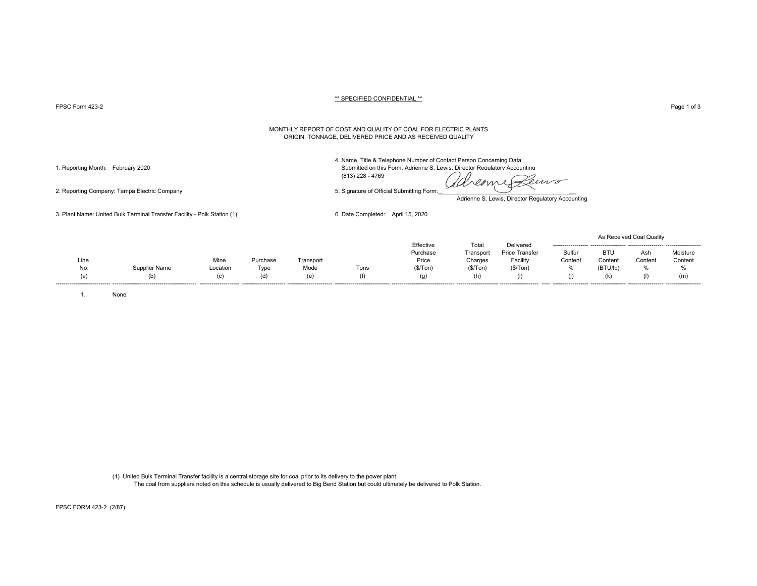PPSC Form 423-2 Page 1 of 3 Page 1 of 3

#### MONTHLY REPORT OF COST AND QUALITY OF COAL FOR ELECTRIC PLANTS ORIGIN, TONNAGE, DELIVERED PRICE AND AS RECEIVED QUALITY

4. Name, Title & Telephone Number of Contact Person Concerning Data

1. Reporting Month: February 2020 Submitted on this Form: Adrienne S. Lewis, Director Regulatory Accounting

(813) 228 - 4769

dreame Leurs

Adrienne S. Lewis, Director Regulatory Accounting

3. Plant Name: United Bulk Terminal Transfer Facility - Polk Station (1) 6. Date Completed: April 15, 2020

|      |               |                       |                         |           |      |           |           |                       |                                  |                     | As Received Coal Quality |          |
|------|---------------|-----------------------|-------------------------|-----------|------|-----------|-----------|-----------------------|----------------------------------|---------------------|--------------------------|----------|
|      |               |                       |                         |           |      | Effective | Tota      | Delivered             | -------------------              | ------------------- |                          |          |
|      |               |                       |                         |           |      | Purchase  | Transport | <b>Price Transfer</b> | Sulfur                           | <b>BTU</b>          | Ash                      | Moisture |
| Line |               | Mine                  | Purchase                | Transport |      | Price     | Charges   | Facility              | Content                          | Content             | Content                  | Content  |
| No.  | Supplier Name | Location              | Type                    | Mode      | Tons | (\$/Tom)  | (\$/Tom)  | (\$/ Ton)             | 70                               | (BTU/lb)            | %                        |          |
| la I | (b)           |                       |                         | (e)       |      | (g)       |           |                       |                                  |                     | (1)                      | (m)      |
|      |               | --------------------- | ----------------------- |           |      |           |           | --------------------- | $- - - -$<br>------------------- | ------------------- |                          |          |

1. None

(1) United Bulk Terminal Transfer facility is a central storage site for coal prior to its delivery to the power plant. The coal from suppliers noted on this schedule is usually delivered to Big Bend Station but could ultimately be delivered to Polk Station.

2. Reporting Company: Tampa Electric Company 5. Signature of Official Submitting Form:

FPSC FORM 423-2 (2/87)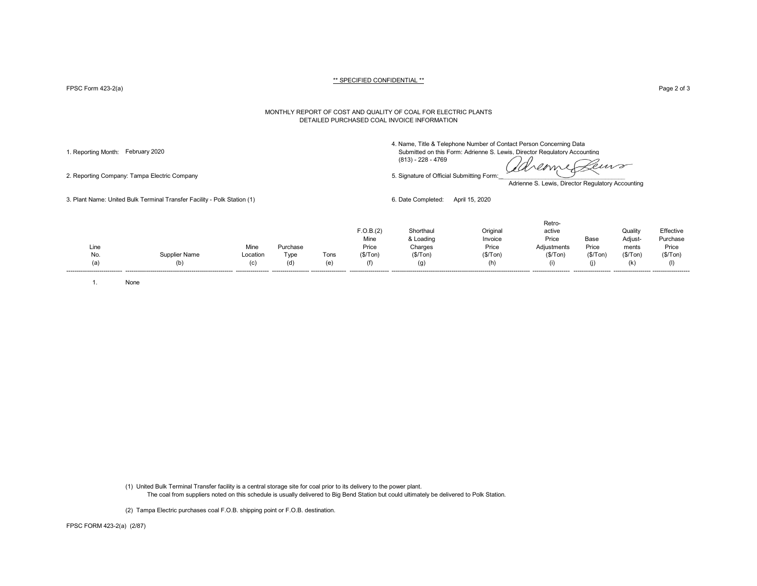FPSC Form 423-2(a) Page 2 of 3

#### MONTHLY REPORT OF COST AND QUALITY OF COAL FOR ELECTRIC PLANTS DETAILED PURCHASED COAL INVOICE INFORMATION

4. Name, Title & Telephone Number of Contact Person Concerning Data

1. Reporting Month: February 2020 Submitted on this Form: Adrienne S. Lewis, Director Regulatory Accounting (813) - 228 - 4769

deme Peuvo

2. Reporting Company: Tampa Electric Company 5. Signature of Official Submitting Form:

Adrienne S. Lewis, Director Regulatory Accounting

3. Plant Name: United Bulk Terminal Transfer Facility - Polk Station (1) 6. Date Completed: April 15, 2020

| (f)<br>(d)<br>(i)<br>(h)<br>(a)<br>(C)<br>(k)<br>(g) | Line |               | Mine     | Purchase |      | F.O.B.(2)<br>Mine<br>Price | Shorthaul<br>& Loading<br>Charges | Original<br>Invoice<br>Price | Retro-<br>active<br>Price<br>Adjustments | Base<br>Price | Quality<br>Adjust-<br>ments | Effective<br>Purchase<br>Price |
|------------------------------------------------------|------|---------------|----------|----------|------|----------------------------|-----------------------------------|------------------------------|------------------------------------------|---------------|-----------------------------|--------------------------------|
|                                                      | No.  | Supplier Name | Location | Type     | Tons | (\$/Top)                   | (\$/ Ton)                         | (\$/Tom)                     | (\$/Tom)                                 | (\$/ Ton)     | (S/Ton)                     | (\$/Tom)                       |
|                                                      |      |               |          |          |      |                            |                                   |                              |                                          |               |                             |                                |

1. None

(1) United Bulk Terminal Transfer facility is a central storage site for coal prior to its delivery to the power plant. The coal from suppliers noted on this schedule is usually delivered to Big Bend Station but could ultimately be delivered to Polk Station.

(2) Tampa Electric purchases coal F.O.B. shipping point or F.O.B. destination.

FPSC FORM 423-2(a) (2/87)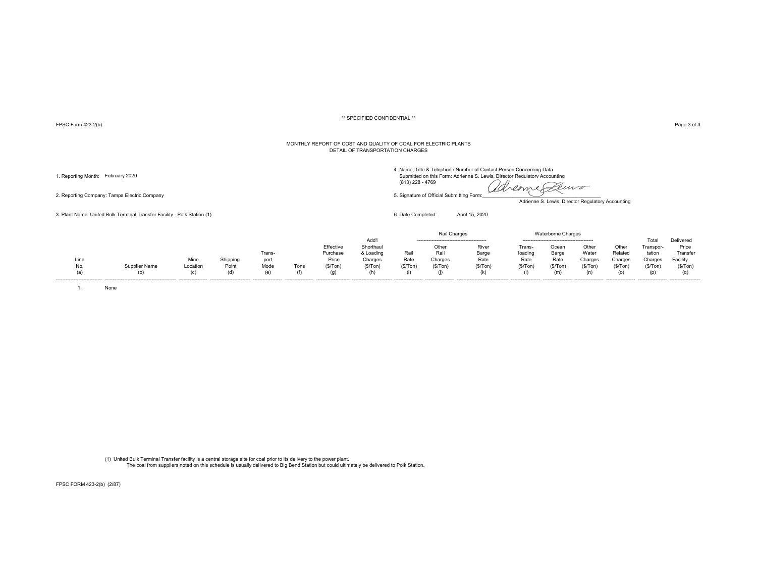FPSC Form 423-2(b) Page 3 of 3

#### MONTHLY REPORT OF COST AND QUALITY OF COAL FOR ELECTRIC PLANTS DETAIL OF TRANSPORTATION CHARGES

2. Reporting Company: Tampa Electric Company 6. Signature of Official Submitting Form:

3. Plant Name: United Bulk Terminal Transfer Facility - Polk Station (1) 6. Date Completed: April 15, 2020

4. Name, Title & Telephone Number of Contact Person Concerning Data

(813) 228 - 4769

1. Reporting Month: February 2020 Submitted on this Form: Adrienne S. Lewis, Director Regulatory Accounting (813)<br>(a) 228 - 4769 (813) 228 - 4769 (2000) Submitted on this Form: Adrienne S. Lewis, Director Regulatory Accoun Leuro

Adrienne S. Lewis, Director Regulatory Accounting

|      |               |          |          |                  |      |           |           |          | Rail Charges |                                 |         | <b>Waterborne Charges</b> |         |         |           |           |
|------|---------------|----------|----------|------------------|------|-----------|-----------|----------|--------------|---------------------------------|---------|---------------------------|---------|---------|-----------|-----------|
|      |               |          |          |                  |      |           | Add'      |          |              |                                 |         |                           |         |         | Total     | Delivered |
|      |               |          |          |                  |      | Effective | Shorthaul |          | Other        | River                           | Frans-  | Ocear                     | Other   | Other   | Transpor- | Price     |
|      |               |          |          | Trans-           |      | Purchase  | & Loading | Rail     | Rail         | Barge                           | loading | Barge                     | Water   | Related | tation    | Transfer  |
| Line |               | Mine     | Shipping | port             |      | Price     | Charges   | Rate     | Charges      | Rate                            | Rate    | Rate                      | Charges | Charges | Charges   | Facility  |
| No.  | Supplier Name | Location | Point    | Mode             | Tons | (S/Ton)   | (\$/Tom)  | (\$/Ton) | (S/Ton)      | (S/ Ton)                        | (S/Ton) | (S/Ton)                   | (S/Ton) | (\$/Ton | (S/Ton)   | (S/Ton)   |
| (a)  |               | (n)      | (d)      | (e)              |      |           |           |          |              |                                 |         | (m                        |         | (o)     | (p)       |           |
|      |               |          |          | ---------------- |      |           |           |          |              | ------------------------------- |         |                           |         |         |           |           |

1. None

(1) United Bulk Terminal Transfer facility is a central storage site for coal prior to its delivery to the power plant. The coal from suppliers noted on this schedule is usually delivered to Big Bend Station but could ultimately be delivered to Polk Station.

FPSC FORM 423-2(b) (2/87)